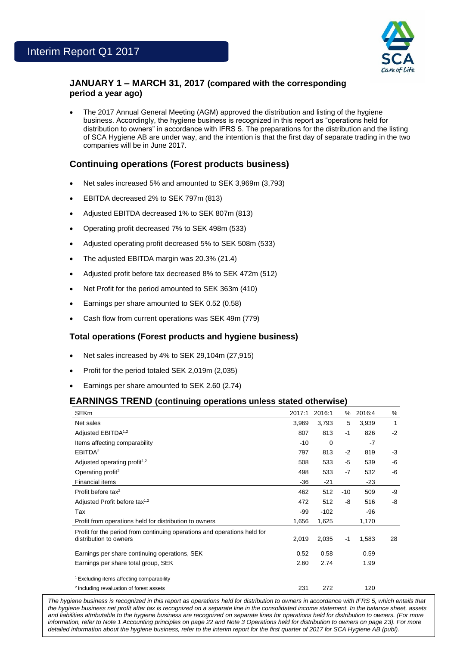

# **JANUARY 1 – MARCH 31, 2017 (compared with the corresponding period a year ago)**

 The 2017 Annual General Meeting (AGM) approved the distribution and listing of the hygiene business. Accordingly, the hygiene business is recognized in this report as "operations held for distribution to owners" in accordance with IFRS 5. The preparations for the distribution and the listing of SCA Hygiene AB are under way, and the intention is that the first day of separate trading in the two companies will be in June 2017.

# **Continuing operations (Forest products business)**

- Net sales increased 5% and amounted to SEK 3,969m (3,793)
- EBITDA decreased 2% to SEK 797m (813)
- Adjusted EBITDA decreased 1% to SEK 807m (813)
- Operating profit decreased 7% to SEK 498m (533)
- Adjusted operating profit decreased 5% to SEK 508m (533)
- The adjusted EBITDA margin was 20.3% (21.4)
- Adjusted profit before tax decreased 8% to SEK 472m (512)
- Net Profit for the period amounted to SEK 363m (410)
- Earnings per share amounted to SEK 0.52 (0.58)
- Cash flow from current operations was SEK 49m (779)

### **Total operations (Forest products and hygiene business)**

- Net sales increased by 4% to SEK 29,104m (27,915)
- Profit for the period totaled SEK 2,019m (2,035)
- Earnings per share amounted to SEK 2.60 (2.74)

### **EARNINGS TREND (continuing operations unless stated otherwise)**

| <b>SEKm</b>                                                              | 2017:1 | 2016:1   | %     | 2016:4 | %    |
|--------------------------------------------------------------------------|--------|----------|-------|--------|------|
| Net sales                                                                | 3,969  | 3,793    | 5     | 3,939  | 1    |
| Adjusted EBITDA <sup>1,2</sup>                                           | 807    | 813      | $-1$  | 826    | $-2$ |
| Items affecting comparability                                            | $-10$  | $\Omega$ |       | $-7$   |      |
| EBITDA <sup>2</sup>                                                      | 797    | 813      | $-2$  | 819    | $-3$ |
| Adjusted operating profit <sup>1,2</sup>                                 | 508    | 533      | -5    | 539    | -6   |
| Operating profit <sup>2</sup>                                            | 498    | 533      | $-7$  | 532    | -6   |
| <b>Financial items</b>                                                   | $-36$  | $-21$    |       | $-23$  |      |
| Profit before tax <sup>2</sup>                                           | 462    | 512      | $-10$ | 509    | -9   |
| Adjusted Profit before tax <sup>1,2</sup>                                | 472    | 512      | -8    | 516    | -8   |
| Tax                                                                      | -99    | $-102$   |       | -96    |      |
| Profit from operations held for distribution to owners                   | 1,656  | 1,625    |       | 1,170  |      |
| Profit for the period from continuing operations and operations held for |        |          |       |        |      |
| distribution to owners                                                   | 2,019  | 2,035    | -1    | 1,583  | 28   |
| Earnings per share continuing operations, SEK                            | 0.52   | 0.58     |       | 0.59   |      |
| Earnings per share total group, SEK                                      | 2.60   | 2.74     |       | 1.99   |      |
| <sup>1</sup> Excluding items affecting comparability                     |        |          |       |        |      |
| <sup>2</sup> Including revaluation of forest assets                      | 231    | 272      |       | 120    |      |

and liabilities attributable to the hygiene business are recognized on separate lines for operations held for distribution to owners. (For more The hygiene business is recognized in this report as operations held for distribution to owners in accordance with IFRS 5, which entails that *the hygiene business net profit after tax is recognized on a separate line in the consolidated income statement. In the balance sheet, assets information, refer to Note 1 Accounting principles on page 22 and Note 3 Operations held for distribution to owners on page 23). For more detailed information about the hygiene business, refer to the interim report for the first quarter of 2017 for SCA Hygiene AB (publ).*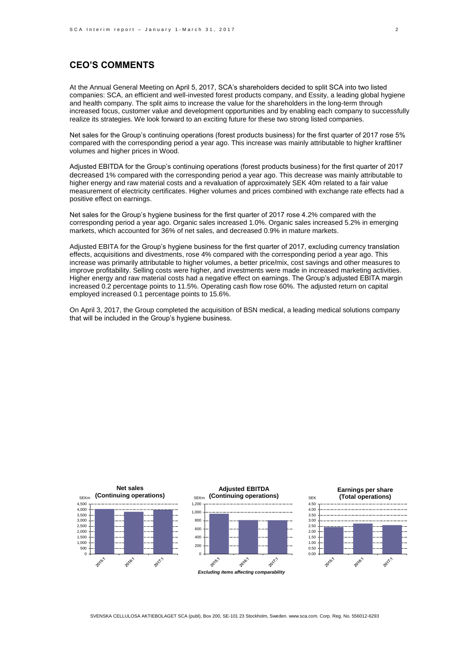# **CEO'S COMMENTS**

At the Annual General Meeting on April 5, 2017, SCA's shareholders decided to split SCA into two listed companies: SCA, an efficient and well-invested forest products company, and Essity, a leading global hygiene and health company. The split aims to increase the value for the shareholders in the long-term through increased focus, customer value and development opportunities and by enabling each company to successfully realize its strategies. We look forward to an exciting future for these two strong listed companies.

Net sales for the Group's continuing operations (forest products business) for the first quarter of 2017 rose 5% compared with the corresponding period a year ago. This increase was mainly attributable to higher kraftliner volumes and higher prices in Wood.

Adjusted EBITDA for the Group's continuing operations (forest products business) for the first quarter of 2017 decreased 1% compared with the corresponding period a year ago. This decrease was mainly attributable to higher energy and raw material costs and a revaluation of approximately SEK 40m related to a fair value measurement of electricity certificates. Higher volumes and prices combined with exchange rate effects had a positive effect on earnings.

Net sales for the Group's hygiene business for the first quarter of 2017 rose 4.2% compared with the corresponding period a year ago. Organic sales increased 1.0%. Organic sales increased 5.2% in emerging markets, which accounted for 36% of net sales, and decreased 0.9% in mature markets.

Adjusted EBITA for the Group's hygiene business for the first quarter of 2017, excluding currency translation effects, acquisitions and divestments, rose 4% compared with the corresponding period a year ago. This increase was primarily attributable to higher volumes, a better price/mix, cost savings and other measures to improve profitability. Selling costs were higher, and investments were made in increased marketing activities. Higher energy and raw material costs had a negative effect on earnings. The Group's adjusted EBITA margin increased 0.2 percentage points to 11.5%. Operating cash flow rose 60%. The adjusted return on capital employed increased 0.1 percentage points to 15.6%.

On April 3, 2017, the Group completed the acquisition of BSN medical, a leading medical solutions company that will be included in the Group's hygiene business.

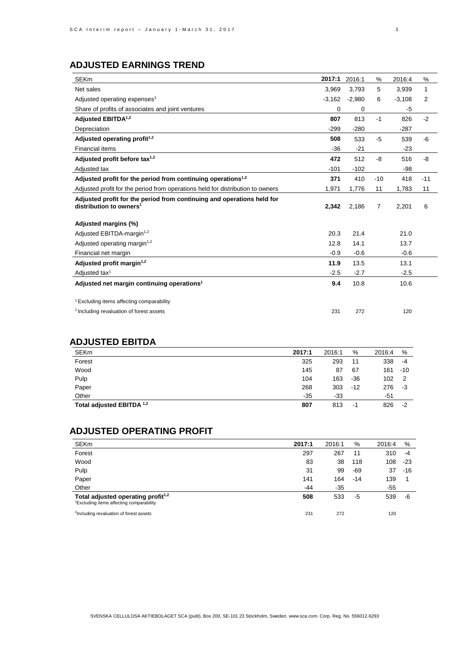# **ADJUSTED EARNINGS TREND**

| <b>SEKm</b>                                                                                                   | 2017:1   | 2016:1   | %     | 2016:4   | %            |
|---------------------------------------------------------------------------------------------------------------|----------|----------|-------|----------|--------------|
| Net sales                                                                                                     | 3,969    | 3,793    | 5     | 3,939    | $\mathbf{1}$ |
| Adjusted operating expenses <sup>1</sup>                                                                      | $-3.162$ | $-2.980$ | 6     | $-3,108$ | 2            |
| Share of profits of associates and joint ventures                                                             | 0        | 0        |       | -5       |              |
| Adjusted EBITDA <sup>1,2</sup>                                                                                | 807      | 813      | $-1$  | 826      | $-2$         |
| Depreciation                                                                                                  | $-299$   | $-280$   |       | $-287$   |              |
| Adjusted operating profit <sup>1,2</sup>                                                                      | 508      | 533      | $-5$  | 539      | -6           |
| <b>Financial items</b>                                                                                        | $-36$    | $-21$    |       | $-23$    |              |
| Adjusted profit before tax $1,2$                                                                              | 472      | 512      | -8    | 516      | -8           |
| Adjusted tax                                                                                                  | $-101$   | $-102$   |       | $-98$    |              |
| Adjusted profit for the period from continuing operations <sup>1,2</sup>                                      | 371      | 410      | $-10$ | 418      | $-11$        |
| Adjusted profit for the period from operations held for distribution to owners                                | 1,971    | 1,776    | 11    | 1,783    | 11           |
| Adjusted profit for the period from continuing and operations held for<br>distribution to owners <sup>1</sup> | 2,342    | 2,186    | 7     | 2,201    | 6            |
| Adjusted margins (%)                                                                                          |          |          |       |          |              |
| Adjusted EBITDA-margin <sup>1,2</sup>                                                                         | 20.3     | 21.4     |       | 21.0     |              |
| Adjusted operating margin <sup>1,2</sup>                                                                      | 12.8     | 14.1     |       | 13.7     |              |
| Financial net margin                                                                                          | $-0.9$   | $-0.6$   |       | $-0.6$   |              |
| Adjusted profit margin <sup>1,2</sup>                                                                         | 11.9     | 13.5     |       | 13.1     |              |
| Adjusted tax <sup>1</sup>                                                                                     | $-2.5$   | $-2.7$   |       | $-2.5$   |              |
| Adjusted net margin continuing operations <sup>1</sup>                                                        | 9.4      | 10.8     |       | 10.6     |              |
| <sup>1</sup> Excluding items affecting comparability                                                          |          |          |       |          |              |
| <sup>2</sup> Including revaluation of forest assets                                                           | 231      | 272      |       | 120      |              |

# **ADJUSTED EBITDA**

| <b>SEKm</b>               | 2017:1 | 2016:1 | %     | 2016:4 | $\%$  |
|---------------------------|--------|--------|-------|--------|-------|
| Forest                    | 325    | 293    | 11    | 338    | $-4$  |
| Wood                      | 145    | 87     | 67    | 161    | $-10$ |
| Pulp                      | 104    | 163    | $-36$ | 102    | 2     |
| Paper                     | 268    | 303    | $-12$ | 276    | -3    |
| Other                     | $-35$  | -33    |       | -51    |       |
| Total adjusted EBITDA 1,2 | 807    | 813    | -1    | 826    | $-2$  |
|                           |        |        |       |        |       |

# **ADJUSTED OPERATING PROFIT**

| <b>SEKm</b>                                                                                            | 2017:1 | 2016:1 | %     | 2016:4 | %   |
|--------------------------------------------------------------------------------------------------------|--------|--------|-------|--------|-----|
| Forest                                                                                                 | 297    | 267    | 11    | 310    | -4  |
| Wood                                                                                                   | 83     | 38     | 118   | 108    | -23 |
| Pulp                                                                                                   | 31     | 99     | -69   | 37     | -16 |
| Paper                                                                                                  | 141    | 164    | $-14$ | 139    |     |
| Other                                                                                                  | -44    | $-35$  |       | -55    |     |
| Total adjusted operating profit <sup>1,2</sup><br><sup>1</sup> Excluding items affecting comparability | 508    | 533    | -5    | 539    | -6  |
| <sup>2</sup> Including revaluation of forest assets                                                    | 231    | 272    |       | 120    |     |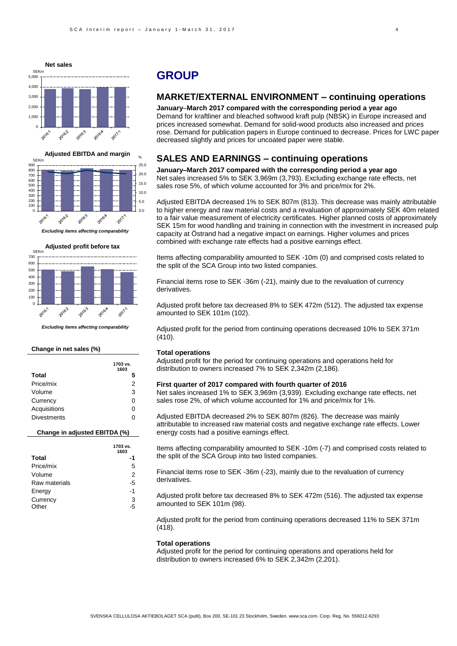



*Excluding items affecting comparability*



*Excluding items affecting comparability*

#### **Change in net sales (%)**

|                    | 1703 vs.<br>1603 |
|--------------------|------------------|
| Total              | 5                |
| Price/mix          | 2                |
| Volume             | 3                |
| Currency           | O                |
| Acquisitions       | O                |
| <b>Divestments</b> |                  |

#### **Change in adjusted EBITDA (%)**

|               | 1703 vs.<br>1603 |
|---------------|------------------|
| <b>Total</b>  |                  |
| Price/mix     | 5                |
| Volume        | 2                |
| Raw materials | -5               |
| Energy        | -1               |
| Currency      | 3                |
| Other         | 5                |

## **GROUP**

## **MARKET/EXTERNAL ENVIRONMENT – continuing operations**

**January**–**March 2017 compared with the corresponding period a year ago** Demand for kraftliner and bleached softwood kraft pulp (NBSK) in Europe increased and prices increased somewhat. Demand for solid-wood products also increased and prices rose. Demand for publication papers in Europe continued to decrease. Prices for LWC paper decreased slightly and prices for uncoated paper were stable.

### **SALES AND EARNINGS – continuing operations**

**January–March 2017 compared with the corresponding period a year ago** Net sales increased 5% to SEK 3,969m (3,793). Excluding exchange rate effects, net sales rose 5%, of which volume accounted for 3% and price/mix for 2%.

Adjusted EBITDA decreased 1% to SEK 807m (813). This decrease was mainly attributable to higher energy and raw material costs and a revaluation of approximately SEK 40m related to a fair value measurement of electricity certificates. Higher planned costs of approximately SEK 15m for wood handling and training in connection with the investment in increased pulp capacity at Östrand had a negative impact on earnings. Higher volumes and prices combined with exchange rate effects had a positive earnings effect.

Items affecting comparability amounted to SEK -10m (0) and comprised costs related to the split of the SCA Group into two listed companies.

Financial items rose to SEK -36m (-21), mainly due to the revaluation of currency derivatives.

Adjusted profit before tax decreased 8% to SEK 472m (512). The adjusted tax expense amounted to SEK 101m (102).

Adjusted profit for the period from continuing operations decreased 10% to SEK 371m (410).

#### **Total operations**

Adjusted profit for the period for continuing operations and operations held for distribution to owners increased 7% to SEK 2,342m (2,186).

#### **First quarter of 2017 compared with fourth quarter of 2016**

Net sales increased 1% to SEK 3,969m (3,939). Excluding exchange rate effects, net sales rose 2%, of which volume accounted for 1% and price/mix for 1%.

Adjusted EBITDA decreased 2% to SEK 807m (826). The decrease was mainly attributable to increased raw material costs and negative exchange rate effects. Lower energy costs had a positive earnings effect.

Items affecting comparability amounted to SEK -10m (-7) and comprised costs related to the split of the SCA Group into two listed companies.

Financial items rose to SEK -36m (-23), mainly due to the revaluation of currency derivatives.

Adjusted profit before tax decreased 8% to SEK 472m (516). The adjusted tax expense amounted to SEK 101m (98).

Adjusted profit for the period from continuing operations decreased 11% to SEK 371m (418).

#### **Total operations**

Adjusted profit for the period for continuing operations and operations held for distribution to owners increased 6% to SEK 2,342m (2,201).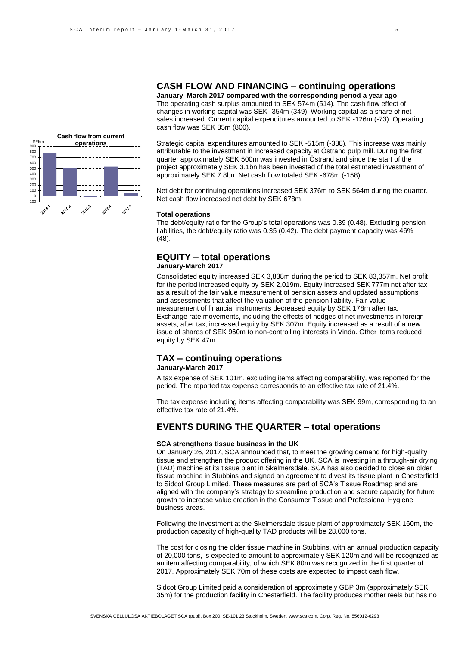### **CASH FLOW AND FINANCING – continuing operations**

**January–March 2017 compared with the corresponding period a year ago** The operating cash surplus amounted to SEK 574m (514). The cash flow effect of changes in working capital was SEK -354m (349). Working capital as a share of net sales increased. Current capital expenditures amounted to SEK -126m (-73). Operating cash flow was SEK 85m (800).

Strategic capital expenditures amounted to SEK -515m (-388). This increase was mainly attributable to the investment in increased capacity at Östrand pulp mill. During the first quarter approximately SEK 500m was invested in Östrand and since the start of the project approximately SEK 3.1bn has been invested of the total estimated investment of approximately SEK 7.8bn. Net cash flow totaled SEK -678m (-158).

Net debt for continuing operations increased SEK 376m to SEK 564m during the quarter. Net cash flow increased net debt by SEK 678m.

#### **Total operations**

The debt/equity ratio for the Group's total operations was 0.39 (0.48). Excluding pension liabilities, the debt/equity ratio was 0.35 (0.42). The debt payment capacity was 46% (48).

# **EQUITY – total operations**

### **January-March 2017**

Consolidated equity increased SEK 3,838m during the period to SEK 83,357m. Net profit for the period increased equity by SEK 2,019m. Equity increased SEK 777m net after tax as a result of the fair value measurement of pension assets and updated assumptions and assessments that affect the valuation of the pension liability. Fair value measurement of financial instruments decreased equity by SEK 178m after tax. Exchange rate movements, including the effects of hedges of net investments in foreign assets, after tax, increased equity by SEK 307m. Equity increased as a result of a new issue of shares of SEK 960m to non-controlling interests in Vinda. Other items reduced equity by SEK 47m.

## **TAX – continuing operations**

### **January-March 2017**

A tax expense of SEK 101m, excluding items affecting comparability, was reported for the period. The reported tax expense corresponds to an effective tax rate of 21.4%.

The tax expense including items affecting comparability was SEK 99m, corresponding to an effective tax rate of 21.4%.

### **EVENTS DURING THE QUARTER – total operations**

#### **SCA strengthens tissue business in the UK**

On January 26, 2017, SCA announced that, to meet the growing demand for high-quality tissue and strengthen the product offering in the UK, SCA is investing in a through-air drying (TAD) machine at its tissue plant in Skelmersdale. SCA has also decided to close an older tissue machine in Stubbins and signed an agreement to divest its tissue plant in Chesterfield to Sidcot Group Limited. These measures are part of SCA's Tissue Roadmap and are aligned with the company's strategy to streamline production and secure capacity for future growth to increase value creation in the Consumer Tissue and Professional Hygiene business areas.

Following the investment at the Skelmersdale tissue plant of approximately SEK 160m, the production capacity of high-quality TAD products will be 28,000 tons.

The cost for closing the older tissue machine in Stubbins, with an annual production capacity of 20,000 tons, is expected to amount to approximately SEK 120m and will be recognized as an item affecting comparability, of which SEK 80m was recognized in the first quarter of 2017. Approximately SEK 70m of these costs are expected to impact cash flow.

Sidcot Group Limited paid a consideration of approximately GBP 3m (approximately SEK 35m) for the production facility in Chesterfield. The facility produces mother reels but has no

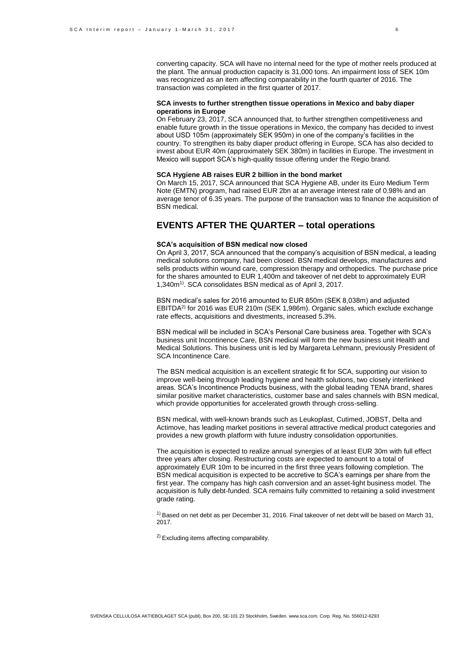converting capacity. SCA will have no internal need for the type of mother reels produced at the plant. The annual production capacity is 31,000 tons. An impairment loss of SEK 10m was recognized as an item affecting comparability in the fourth quarter of 2016. The transaction was completed in the first quarter of 2017.

#### **SCA invests to further strengthen tissue operations in Mexico and baby diaper operations in Europe**

On February 23, 2017, SCA announced that, to further strengthen competitiveness and enable future growth in the tissue operations in Mexico, the company has decided to invest about USD 105m (approximately SEK 950m) in one of the company's facilities in the country. To strengthen its baby diaper product offering in Europe, SCA has also decided to invest about EUR 40m (approximately SEK 380m) in facilities in Europe. The investment in Mexico will support SCA's high-quality tissue offering under the Regio brand.

#### **SCA Hygiene AB raises EUR 2 billion in the bond market**

On March 15, 2017, SCA announced that SCA Hygiene AB, under its Euro Medium Term Note (EMTN) program, had raised EUR 2bn at an average interest rate of 0.98% and an average tenor of 6.35 years. The purpose of the transaction was to finance the acquisition of BSN medical.

### **EVENTS AFTER THE QUARTER – total operations**

#### **SCA's acquisition of BSN medical now closed**

On April 3, 2017, SCA announced that the company's acquisition of BSN medical, a leading medical solutions company, had been closed. BSN medical develops, manufactures and sells products within wound care, compression therapy and orthopedics. The purchase price for the shares amounted to EUR 1,400m and takeover of net debt to approximately EUR 1,340m1). SCA consolidates BSN medical as of April 3, 2017.

BSN medical's sales for 2016 amounted to EUR 850m (SEK 8,038m) and adjusted EBITDA2) for 2016 was EUR 210m (SEK 1,986m). Organic sales, which exclude exchange rate effects, acquisitions and divestments, increased 5.3%.

BSN medical will be included in SCA's Personal Care business area. Together with SCA's business unit Incontinence Care, BSN medical will form the new business unit Health and Medical Solutions. This business unit is led by Margareta Lehmann, previously President of SCA Incontinence Care.

The BSN medical acquisition is an excellent strategic fit for SCA, supporting our vision to improve well-being through leading hygiene and health solutions, two closely interlinked areas. SCA's Incontinence Products business, with the global leading TENA brand, shares similar positive market characteristics, customer base and sales channels with BSN medical, which provide opportunities for accelerated growth through cross-selling.

BSN medical, with well-known brands such as Leukoplast, Cutimed, JOBST, Delta and Actimove, has leading market positions in several attractive medical product categories and provides a new growth platform with future industry consolidation opportunities.

The acquisition is expected to realize annual synergies of at least EUR 30m with full effect three years after closing. Restructuring costs are expected to amount to a total of approximately EUR 10m to be incurred in the first three years following completion. The BSN medical acquisition is expected to be accretive to SCA's earnings per share from the first year. The company has high cash conversion and an asset-light business model. The acquisition is fully debt-funded. SCA remains fully committed to retaining a solid investment grade rating.

 $1)$  Based on net debt as per December 31, 2016. Final takeover of net debt will be based on March 31, 2017.

<sup>2)</sup> Excluding items affecting comparability.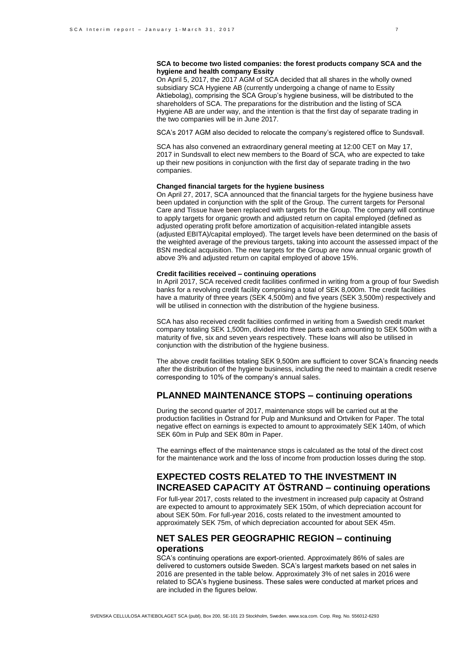#### **SCA to become two listed companies: the forest products company SCA and the hygiene and health company Essity**

On April 5, 2017, the 2017 AGM of SCA decided that all shares in the wholly owned subsidiary SCA Hygiene AB (currently undergoing a change of name to Essity Aktiebolag), comprising the SCA Group's hygiene business, will be distributed to the shareholders of SCA. The preparations for the distribution and the listing of SCA Hygiene AB are under way, and the intention is that the first day of separate trading in the two companies will be in June 2017.

SCA's 2017 AGM also decided to relocate the company's registered office to Sundsvall.

SCA has also convened an extraordinary general meeting at 12:00 CET on May 17, 2017 in Sundsvall to elect new members to the Board of SCA, who are expected to take up their new positions in conjunction with the first day of separate trading in the two companies.

#### **Changed financial targets for the hygiene business**

On April 27, 2017, SCA announced that the financial targets for the hygiene business have been updated in conjunction with the split of the Group. The current targets for Personal Care and Tissue have been replaced with targets for the Group. The company will continue to apply targets for organic growth and adjusted return on capital employed (defined as adjusted operating profit before amortization of acquisition-related intangible assets (adjusted EBITA)/capital employed). The target levels have been determined on the basis of the weighted average of the previous targets, taking into account the assessed impact of the BSN medical acquisition. The new targets for the Group are now annual organic growth of above 3% and adjusted return on capital employed of above 15%.

#### **Credit facilities received – continuing operations**

In April 2017, SCA received credit facilities confirmed in writing from a group of four Swedish banks for a revolving credit facility comprising a total of SEK 8,000m. The credit facilities have a maturity of three years (SEK 4,500m) and five years (SEK 3,500m) respectively and will be utilised in connection with the distribution of the hygiene business.

SCA has also received credit facilities confirmed in writing from a Swedish credit market company totaling SEK 1,500m, divided into three parts each amounting to SEK 500m with a maturity of five, six and seven years respectively. These loans will also be utilised in conjunction with the distribution of the hygiene business.

The above credit facilities totaling SEK 9,500m are sufficient to cover SCA's financing needs after the distribution of the hygiene business, including the need to maintain a credit reserve corresponding to 10% of the company's annual sales.

## **PLANNED MAINTENANCE STOPS – continuing operations**

During the second quarter of 2017, maintenance stops will be carried out at the production facilities in Östrand for Pulp and Munksund and Ortviken for Paper. The total negative effect on earnings is expected to amount to approximately SEK 140m, of which SEK 60m in Pulp and SEK 80m in Paper.

The earnings effect of the maintenance stops is calculated as the total of the direct cost for the maintenance work and the loss of income from production losses during the stop.

## **EXPECTED COSTS RELATED TO THE INVESTMENT IN INCREASED CAPACITY AT ÖSTRAND – continuing operations**

For full-year 2017, costs related to the investment in increased pulp capacity at Östrand are expected to amount to approximately SEK 150m, of which depreciation account for about SEK 50m. For full-year 2016, costs related to the investment amounted to approximately SEK 75m, of which depreciation accounted for about SEK 45m.

### **NET SALES PER GEOGRAPHIC REGION – continuing operations**

SCA's continuing operations are export-oriented. Approximately 86% of sales are delivered to customers outside Sweden. SCA's largest markets based on net sales in 2016 are presented in the table below. Approximately 3% of net sales in 2016 were related to SCA's hygiene business. These sales were conducted at market prices and are included in the figures below.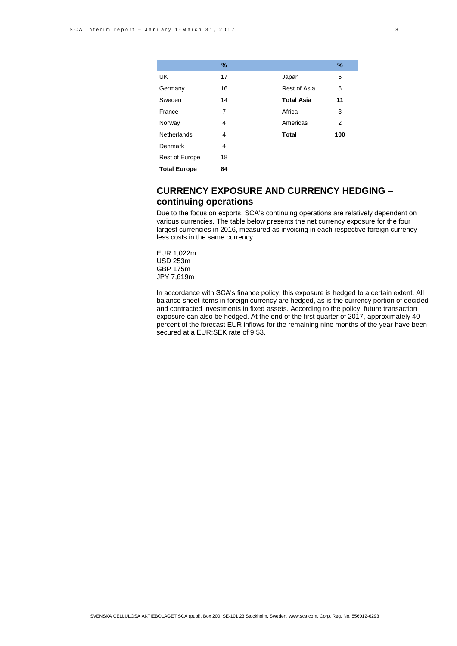|                     | %  |                   | $\%$ |
|---------------------|----|-------------------|------|
| UK                  | 17 | Japan             | 5    |
| Germany             | 16 | Rest of Asia      | 6    |
| Sweden              | 14 | <b>Total Asia</b> | 11   |
| France              | 7  | Africa            | 3    |
| Norway              | 4  | Americas          | 2    |
| Netherlands         | 4  | <b>Total</b>      | 100  |
| Denmark             | 4  |                   |      |
| Rest of Europe      | 18 |                   |      |
| <b>Total Europe</b> | 84 |                   |      |

# **CURRENCY EXPOSURE AND CURRENCY HEDGING – continuing operations**

Due to the focus on exports, SCA's continuing operations are relatively dependent on various currencies. The table below presents the net currency exposure for the four largest currencies in 2016, measured as invoicing in each respective foreign currency less costs in the same currency.

EUR 1,022m USD 253m GBP 175m JPY 7,619m

In accordance with SCA's finance policy, this exposure is hedged to a certain extent. All balance sheet items in foreign currency are hedged, as is the currency portion of decided and contracted investments in fixed assets. According to the policy, future transaction exposure can also be hedged. At the end of the first quarter of 2017, approximately 40 percent of the forecast EUR inflows for the remaining nine months of the year have been secured at a EUR:SEK rate of 9.53.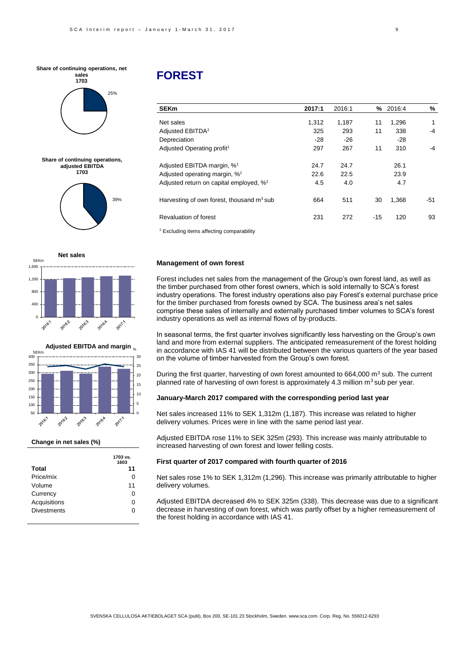



**Share of continuing operations, adjusted EBITDA 1703**







#### **Change in net sales (%)**

|                    | 1703 VS.<br>1603 |
|--------------------|------------------|
| <b>Total</b>       | 11               |
| Price/mix          | 0                |
| Volume             | 11               |
| Currency           | 0                |
| Acquisitions       | 0                |
| <b>Divestments</b> | ი                |

**1703 vs.** 

# **FOREST**

| <b>SEKm</b>                                          | 2017:1 | 2016:1 | ℅     | 2016:4 | %            |
|------------------------------------------------------|--------|--------|-------|--------|--------------|
| Net sales                                            | 1,312  | 1,187  | 11    | 1,296  | $\mathbf{1}$ |
| Adjusted EBITDA <sup>1</sup>                         | 325    | 293    | 11    | 338    | $-4$         |
| Depreciation                                         | $-28$  | -26    |       | -28    |              |
| Adjusted Operating profit <sup>1</sup>               | 297    | 267    | 11    | 310    | -4           |
| Adjusted EBITDA margin, % <sup>1</sup>               | 24.7   | 24.7   |       | 26.1   |              |
| Adjusted operating margin, % <sup>1</sup>            | 22.6   | 22.5   |       | 23.9   |              |
| Adjusted return on capital employed, % <sup>1</sup>  | 4.5    | 4.0    |       | 4.7    |              |
| Harvesting of own forest, thousand $m3$ sub          | 664    | 511    | 30    | 1,368  | -51          |
| Revaluation of forest                                | 231    | 272    | $-15$ | 120    | 93           |
| <sup>1</sup> Excluding items affecting comparability |        |        |       |        |              |

#### **Management of own forest**

Forest includes net sales from the management of the Group's own forest land, as well as the timber purchased from other forest owners, which is sold internally to SCA's forest industry operations. The forest industry operations also pay Forest's external purchase price for the timber purchased from forests owned by SCA. The business area's net sales comprise these sales of internally and externally purchased timber volumes to SCA's forest industry operations as well as internal flows of by-products.

In seasonal terms, the first quarter involves significantly less harvesting on the Group's own land and more from external suppliers. The anticipated remeasurement of the forest holding in accordance with IAS 41 will be distributed between the various quarters of the year based on the volume of timber harvested from the Group's own forest.

During the first quarter, harvesting of own forest amounted to  $664,000$  m<sup>3</sup> sub. The current planned rate of harvesting of own forest is approximately 4.3 million  $m^3$  sub per year.

#### **January-March 2017 compared with the corresponding period last year**

Net sales increased 11% to SEK 1,312m (1,187). This increase was related to higher delivery volumes. Prices were in line with the same period last year.

Adjusted EBITDA rose 11% to SEK 325m (293). This increase was mainly attributable to increased harvesting of own forest and lower felling costs.

#### **First quarter of 2017 compared with fourth quarter of 2016**

Net sales rose 1% to SEK 1,312m (1,296). This increase was primarily attributable to higher delivery volumes.

Adjusted EBITDA decreased 4% to SEK 325m (338). This decrease was due to a significant decrease in harvesting of own forest, which was partly offset by a higher remeasurement of the forest holding in accordance with IAS 41.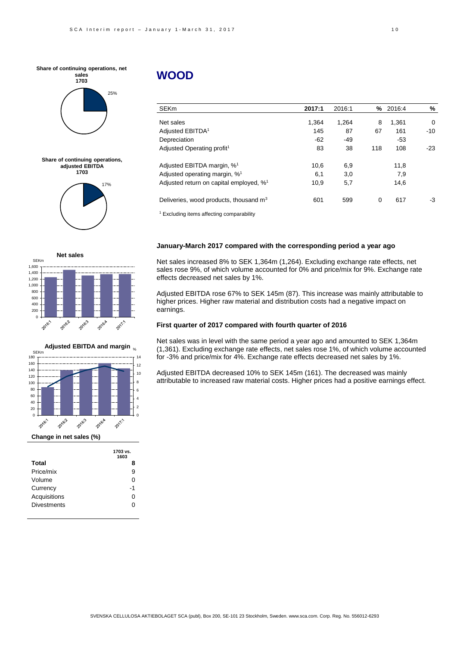



**Share of continuing operations, adjusted EBITDA 1703**







|                    | 1603 |
|--------------------|------|
| Total              | 8    |
| Price/mix          | 9    |
| Volume             | 0    |
| Currency           | -1   |
| Acquisitions       | 0    |
| <b>Divestments</b> | ი    |
|                    |      |

# **WOOD**

| <b>SEKm</b>                                          | 2017:1 | 2016:1 | %   | 2016:4 | %        |
|------------------------------------------------------|--------|--------|-----|--------|----------|
| Net sales                                            | 1,364  | 1,264  | 8   | 1,361  | $\Omega$ |
| Adjusted EBITDA <sup>1</sup>                         | 145    | 87     | 67  | 161    | $-10$    |
| Depreciation                                         | $-62$  | $-49$  |     | -53    |          |
| Adjusted Operating profit <sup>1</sup>               | 83     | 38     | 118 | 108    | $-23$    |
| Adjusted EBITDA margin, % <sup>1</sup>               | 10,6   | 6,9    |     | 11,8   |          |
| Adjusted operating margin, % <sup>1</sup>            | 6,1    | 3,0    |     | 7,9    |          |
| Adjusted return on capital employed, % <sup>1</sup>  | 10.9   | 5,7    |     | 14,6   |          |
| Deliveries, wood products, thousand m <sup>3</sup>   | 601    | 599    | 0   | 617    | -3       |
| <sup>1</sup> Excluding items affecting comparability |        |        |     |        |          |

#### **January-March 2017 compared with the corresponding period a year ago**

Net sales increased 8% to SEK 1,364m (1,264). Excluding exchange rate effects, net sales rose 9%, of which volume accounted for 0% and price/mix for 9%. Exchange rate effects decreased net sales by 1%.

Adjusted EBITDA rose 67% to SEK 145m (87). This increase was mainly attributable to higher prices. Higher raw material and distribution costs had a negative impact on earnings.

#### **First quarter of 2017 compared with fourth quarter of 2016**

Net sales was in level with the same period a year ago and amounted to SEK 1,364m (1,361). Excluding exchange rate effects, net sales rose 1%, of which volume accounted for -3% and price/mix for 4%. Exchange rate effects decreased net sales by 1%.

Adjusted EBITDA decreased 10% to SEK 145m (161). The decreased was mainly attributable to increased raw material costs. Higher prices had a positive earnings effect.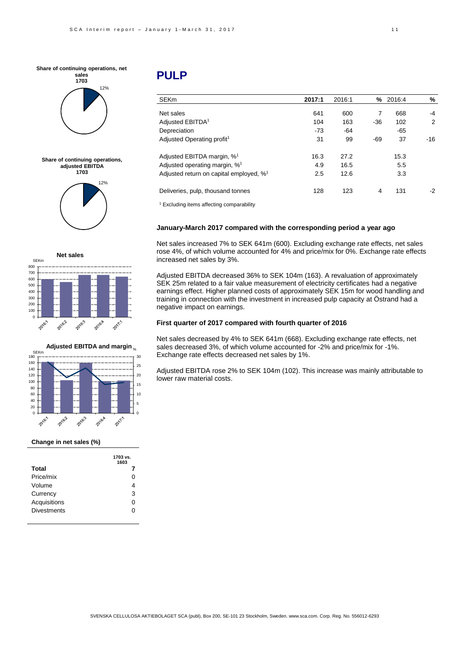



**Share of continuing operations, adjusted EBITDA 1703**







#### **Change in net sales (%)**

|                    | 1703 vs.<br>1603 |
|--------------------|------------------|
| <b>Total</b>       | 7                |
| Price/mix          | O                |
| Volume             |                  |
| Currency           | 3                |
| Acquisitions       | O                |
| <b>Divestments</b> |                  |

# **PULP**

| SEKm                                                | 2017:1 | 2016:1 | %     | 2016:4 | %     |
|-----------------------------------------------------|--------|--------|-------|--------|-------|
| Net sales                                           | 641    | 600    | 7     | 668    | -4    |
| Adjusted EBITDA <sup>1</sup>                        | 104    | 163    | $-36$ | 102    | 2     |
| Depreciation                                        | $-73$  | -64    |       | $-65$  |       |
| Adjusted Operating profit <sup>1</sup>              | 31     | 99     | -69   | 37     | $-16$ |
| Adjusted EBITDA margin, % <sup>1</sup>              | 16.3   | 27.2   |       | 15.3   |       |
| Adjusted operating margin, % <sup>1</sup>           | 4.9    | 16.5   |       | 5.5    |       |
| Adjusted return on capital employed, % <sup>1</sup> | 2.5    | 12.6   |       | 3.3    |       |
| Deliveries, pulp, thousand tonnes                   | 128    | 123    | 4     | 131    | $-2$  |

<sup>1</sup> Excluding items affecting comparability

#### **January-March 2017 compared with the corresponding period a year ago**

Net sales increased 7% to SEK 641m (600). Excluding exchange rate effects, net sales rose 4%, of which volume accounted for 4% and price/mix for 0%. Exchange rate effects increased net sales by 3%.

Adjusted EBITDA decreased 36% to SEK 104m (163). A revaluation of approximately SEK 25m related to a fair value measurement of electricity certificates had a negative earnings effect. Higher planned costs of approximately SEK 15m for wood handling and training in connection with the investment in increased pulp capacity at Östrand had a negative impact on earnings.

#### **First quarter of 2017 compared with fourth quarter of 2016**

Net sales decreased by 4% to SEK 641m (668). Excluding exchange rate effects, net sales decreased 3%, of which volume accounted for -2% and price/mix for -1%. Exchange rate effects decreased net sales by 1%.

Adjusted EBITDA rose 2% to SEK 104m (102). This increase was mainly attributable to lower raw material costs.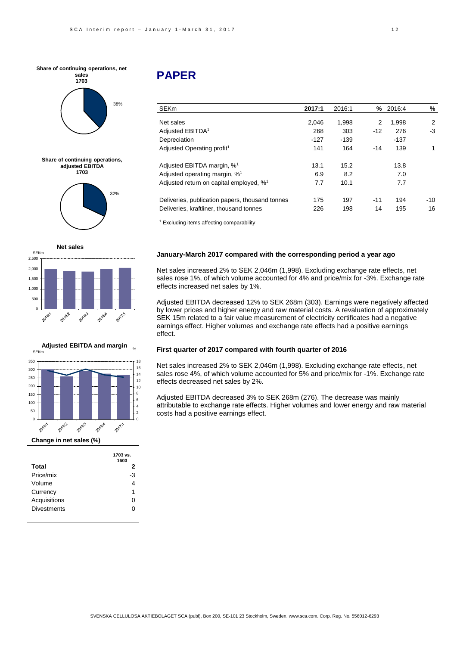







|                    | 1703 VS.<br>1603 |
|--------------------|------------------|
| Total              | 2                |
| Price/mix          | -3               |
| Volume             |                  |
| Currency           | 1                |
| Acquisitions       | $\mathbf{0}$     |
| <b>Divestments</b> |                  |
|                    |                  |

# **PAPER**

| <b>SEKm</b>                                         | 2017:1 | 2016:1 | ℅              | 2016:4 | %   |
|-----------------------------------------------------|--------|--------|----------------|--------|-----|
|                                                     |        |        |                |        |     |
| Net sales                                           | 2.046  | 1.998  | $\overline{2}$ | 1,998  | 2   |
| Adjusted EBITDA <sup>1</sup>                        | 268    | 303    | $-12$          | 276    | -3  |
| Depreciation                                        | $-127$ | $-139$ |                | -137   |     |
| Adjusted Operating profit <sup>1</sup>              | 141    | 164    | $-14$          | 139    | 1   |
| Adjusted EBITDA margin, % <sup>1</sup>              | 13.1   | 15.2   |                | 13.8   |     |
| Adjusted operating margin, % <sup>1</sup>           | 6.9    | 8.2    |                | 7.0    |     |
| Adjusted return on capital employed, % <sup>1</sup> | 7.7    | 10.1   |                | 7.7    |     |
| Deliveries, publication papers, thousand tonnes     | 175    | 197    | $-11$          | 194    | -10 |
| Deliveries, kraftliner, thousand tonnes             | 226    | 198    | 14             | 195    | 16  |
|                                                     |        |        |                |        |     |

<sup>1</sup> Excluding items affecting comparability

#### **January-March 2017 compared with the corresponding period a year ago**

Net sales increased 2% to SEK 2,046m (1,998). Excluding exchange rate effects, net sales rose 1%, of which volume accounted for 4% and price/mix for -3%. Exchange rate effects increased net sales by 1%.

Adjusted EBITDA decreased 12% to SEK 268m (303). Earnings were negatively affected by lower prices and higher energy and raw material costs. A revaluation of approximately SEK 15m related to a fair value measurement of electricity certificates had a negative earnings effect. Higher volumes and exchange rate effects had a positive earnings effect.

#### **First quarter of 2017 compared with fourth quarter of 2016**

Net sales increased 2% to SEK 2,046m (1,998). Excluding exchange rate effects, net sales rose 4%, of which volume accounted for 5% and price/mix for -1%. Exchange rate effects decreased net sales by 2%.

Adjusted EBITDA decreased 3% to SEK 268m (276). The decrease was mainly attributable to exchange rate effects. Higher volumes and lower energy and raw material costs had a positive earnings effect.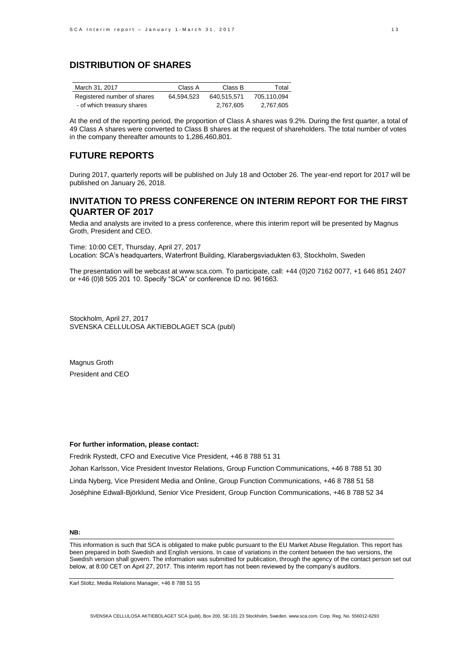## **DISTRIBUTION OF SHARES**

| March 31, 2017              | Class A    | Class B     | Total       |
|-----------------------------|------------|-------------|-------------|
| Registered number of shares | 64.594.523 | 640.515.571 | 705.110.094 |
| - of which treasury shares  |            | 2.767.605   | 2,767,605   |

At the end of the reporting period, the proportion of Class A shares was 9.2%. During the first quarter, a total of 49 Class A shares were converted to Class B shares at the request of shareholders. The total number of votes in the company thereafter amounts to 1,286,460,801.

## **FUTURE REPORTS**

During 2017, quarterly reports will be published on July 18 and October 26. The year-end report for 2017 will be published on January 26, 2018.

## **INVITATION TO PRESS CONFERENCE ON INTERIM REPORT FOR THE FIRST QUARTER OF 2017**

Media and analysts are invited to a press conference, where this interim report will be presented by Magnus Groth, President and CEO.

Time: 10:00 CET, Thursday, April 27, 2017 Location: SCA's headquarters, Waterfront Building, Klarabergsviadukten 63, Stockholm, Sweden

The presentation will be webcast at www.sca.com. To participate, call: +44 (0)20 7162 0077, +1 646 851 2407 or +46 (0)8 505 201 10. Specify "SCA" or conference ID no. 961663.

Stockholm, April 27, 2017 SVENSKA CELLULOSA AKTIEBOLAGET SCA (publ)

Magnus Groth President and CEO

#### **For further information, please contact:**

Fredrik Rystedt, CFO and Executive Vice President, +46 8 788 51 31 Johan Karlsson, Vice President Investor Relations, Group Function Communications, +46 8 788 51 30 Linda Nyberg, Vice President Media and Online, Group Function Communications, +46 8 788 51 58 Joséphine Edwall-Björklund, Senior Vice President, Group Function Communications, +46 8 788 52 34

#### **NB:**

This information is such that SCA is obligated to make public pursuant to the EU Market Abuse Regulation. This report has been prepared in both Swedish and English versions. In case of variations in the content between the two versions, the Swedish version shall govern. The information was submitted for publication, through the agency of the contact person set out below, at 8:00 CET on April 27, 2017. This interim report has not been reviewed by the company's auditors.

Karl Stoltz, Media Relations Manager, +46 8 788 51 55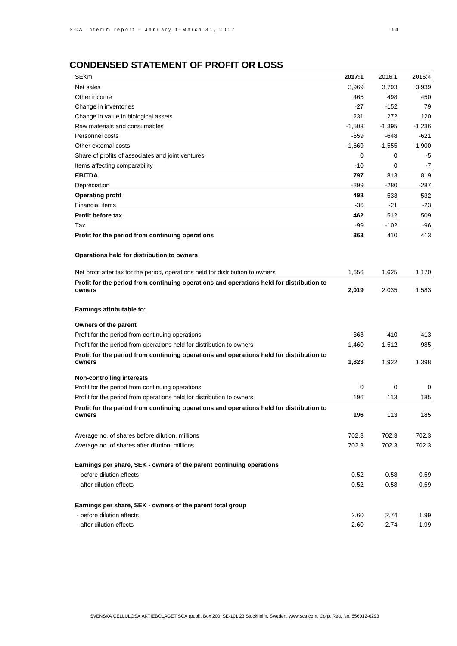# **CONDENSED STATEMENT OF PROFIT OR LOSS**

| <b>SEKm</b>                                                                                        | 2017:1   | 2016:1   | 2016:4   |
|----------------------------------------------------------------------------------------------------|----------|----------|----------|
| Net sales                                                                                          | 3,969    | 3,793    | 3,939    |
| Other income                                                                                       | 465      | 498      | 450      |
| Change in inventories                                                                              | $-27$    | $-152$   | 79       |
| Change in value in biological assets                                                               | 231      | 272      | 120      |
| Raw materials and consumables                                                                      | $-1,503$ | $-1,395$ | $-1,236$ |
| Personnel costs                                                                                    | $-659$   | -648     | -621     |
| Other external costs                                                                               | $-1,669$ | $-1,555$ | $-1,900$ |
| Share of profits of associates and joint ventures                                                  | 0        | 0        | -5       |
| Items affecting comparability                                                                      | -10      | 0        | $-7$     |
| <b>EBITDA</b>                                                                                      | 797      | 813      | 819      |
| Depreciation                                                                                       | $-299$   | $-280$   | -287     |
| Operating profit                                                                                   | 498      | 533      | 532      |
| <b>Financial items</b>                                                                             | $-36$    | $-21$    | $-23$    |
| Profit before tax                                                                                  | 462      | 512      | 509      |
| Tax                                                                                                | -99      | $-102$   | -96      |
| Profit for the period from continuing operations                                                   | 363      | 410      | 413      |
|                                                                                                    |          |          |          |
| Operations held for distribution to owners                                                         |          |          |          |
|                                                                                                    |          |          |          |
| Net profit after tax for the period, operations held for distribution to owners                    | 1,656    | 1,625    | 1,170    |
| Profit for the period from continuing operations and operations held for distribution to           |          |          |          |
| owners                                                                                             | 2,019    | 2,035    | 1,583    |
|                                                                                                    |          |          |          |
| Earnings attributable to:                                                                          |          |          |          |
| Owners of the parent                                                                               |          |          |          |
| Profit for the period from continuing operations                                                   | 363      | 410      | 413      |
| Profit for the period from operations held for distribution to owners                              | 1,460    | 1,512    | 985      |
| Profit for the period from continuing operations and operations held for distribution to           |          |          |          |
| owners                                                                                             | 1,823    | 1,922    | 1,398    |
| Non-controlling interests                                                                          |          |          |          |
| Profit for the period from continuing operations                                                   | 0        | 0        | 0        |
| Profit for the period from operations held for distribution to owners                              | 196      | 113      | 185      |
|                                                                                                    |          |          |          |
| Profit for the period from continuing operations and operations held for distribution to<br>owners | 196      | 113      | 185      |
|                                                                                                    |          |          |          |
| Average no. of shares before dilution, millions                                                    | 702.3    | 702.3    | 702.3    |
| Average no. of shares after dilution, millions                                                     | 702.3    | 702.3    | 702.3    |
|                                                                                                    |          |          |          |
| Earnings per share, SEK - owners of the parent continuing operations                               |          |          |          |
| - before dilution effects                                                                          | 0.52     | 0.58     | 0.59     |
| - after dilution effects                                                                           | 0.52     | 0.58     | 0.59     |
|                                                                                                    |          |          |          |
| Earnings per share, SEK - owners of the parent total group                                         |          |          |          |
| - before dilution effects                                                                          | 2.60     | 2.74     | 1.99     |
| - after dilution effects                                                                           | 2.60     | 2.74     | 1.99     |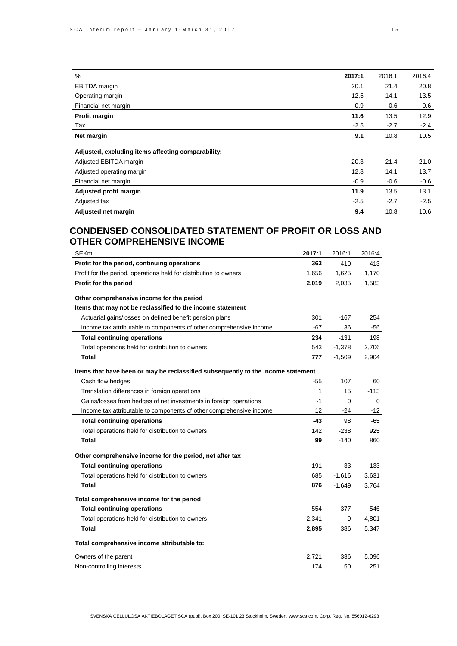| %                                                  | 2017:1 | 2016:1 | 2016:4 |
|----------------------------------------------------|--------|--------|--------|
| <b>EBITDA</b> margin                               | 20.1   | 21.4   | 20.8   |
| Operating margin                                   | 12.5   | 14.1   | 13.5   |
| Financial net margin                               | $-0.9$ | $-0.6$ | $-0.6$ |
| Profit margin                                      | 11.6   | 13.5   | 12.9   |
| Tax                                                | $-2.5$ | $-2.7$ | $-2.4$ |
| Net margin                                         | 9.1    | 10.8   | 10.5   |
| Adjusted, excluding items affecting comparability: |        |        |        |
| Adjusted EBITDA margin                             | 20.3   | 21.4   | 21.0   |
| Adjusted operating margin                          | 12.8   | 14.1   | 13.7   |
| Financial net margin                               | $-0.9$ | $-0.6$ | $-0.6$ |
| Adjusted profit margin                             | 11.9   | 13.5   | 13.1   |
| Adjusted tax                                       | $-2.5$ | $-2.7$ | $-2.5$ |
| Adjusted net margin                                | 9.4    | 10.8   | 10.6   |

# **CONDENSED CONSOLIDATED STATEMENT OF PROFIT OR LOSS AND OTHER COMPREHENSIVE INCOME**

| <b>SEKm</b>                                                                      | 2017:1 | 2016:1   | 2016:4 |
|----------------------------------------------------------------------------------|--------|----------|--------|
| Profit for the period, continuing operations                                     | 363    | 410      | 413    |
| Profit for the period, operations held for distribution to owners                | 1,656  | 1,625    | 1,170  |
| Profit for the period                                                            | 2,019  | 2,035    | 1,583  |
| Other comprehensive income for the period                                        |        |          |        |
| Items that may not be reclassified to the income statement                       |        |          |        |
| Actuarial gains/losses on defined benefit pension plans                          | 301    | $-167$   | 254    |
| Income tax attributable to components of other comprehensive income              | $-67$  | 36       | -56    |
| Total continuing operations                                                      | 234    | $-131$   | 198    |
| Total operations held for distribution to owners                                 | 543    | $-1,378$ | 2,706  |
| Total                                                                            | 777    | $-1,509$ | 2,904  |
| Items that have been or may be reclassified subsequently to the income statement |        |          |        |
| Cash flow hedges                                                                 | $-55$  | 107      | 60     |
| Translation differences in foreign operations                                    | 1      | 15       | $-113$ |
| Gains/losses from hedges of net investments in foreign operations                | $-1$   | 0        | 0      |
| Income tax attributable to components of other comprehensive income              | 12     | -24      | $-12$  |
| Total continuing operations                                                      | $-43$  | 98       | $-65$  |
| Total operations held for distribution to owners                                 | 142    | -238     | 925    |
| Total                                                                            | 99     | $-140$   | 860    |
| Other comprehensive income for the period, net after tax                         |        |          |        |
| Total continuing operations                                                      | 191    | $-33$    | 133    |
| Total operations held for distribution to owners                                 | 685    | $-1,616$ | 3,631  |
| Total                                                                            | 876    | $-1,649$ | 3,764  |
| Total comprehensive income for the period                                        |        |          |        |
| Total continuing operations                                                      | 554    | 377      | 546    |
| Total operations held for distribution to owners                                 | 2,341  | 9        | 4,801  |
| Total                                                                            | 2,895  | 386      | 5,347  |
| Total comprehensive income attributable to:                                      |        |          |        |
| Owners of the parent                                                             | 2,721  | 336      | 5,096  |
| Non-controlling interests                                                        | 174    | 50       | 251    |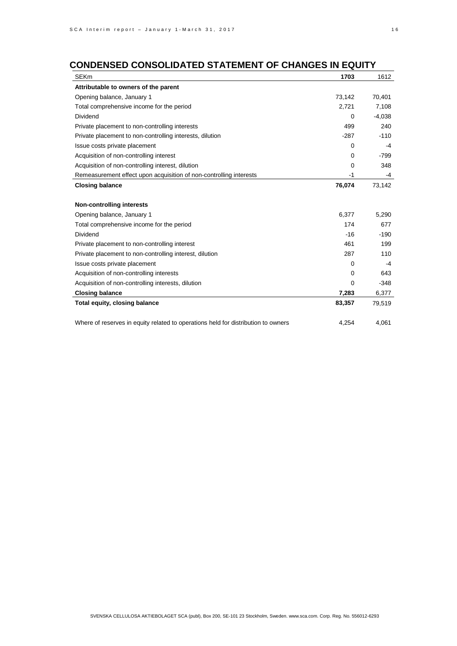# **CONDENSED CONSOLIDATED STATEMENT OF CHANGES IN EQUITY**

| <b>SEKm</b>                                                                       | 1703     | 1612     |
|-----------------------------------------------------------------------------------|----------|----------|
| Attributable to owners of the parent                                              |          |          |
| Opening balance, January 1                                                        | 73,142   | 70,401   |
| Total comprehensive income for the period                                         | 2,721    | 7,108    |
| <b>Dividend</b>                                                                   | $\Omega$ | $-4,038$ |
| Private placement to non-controlling interests                                    | 499      | 240      |
| Private placement to non-controlling interests, dilution                          | $-287$   | $-110$   |
| Issue costs private placement                                                     | 0        | $-4$     |
| Acquisition of non-controlling interest                                           | 0        | $-799$   |
| Acquisition of non-controlling interest, dilution                                 | 0        | 348      |
| Remeasurement effect upon acquisition of non-controlling interests                | -1       | -4       |
| Closing balance                                                                   | 76,074   | 73,142   |
|                                                                                   |          |          |
| <b>Non-controlling interests</b>                                                  |          |          |
| Opening balance, January 1                                                        | 6,377    | 5,290    |
| Total comprehensive income for the period                                         | 174      | 677      |
| Dividend                                                                          | $-16$    | $-190$   |
| Private placement to non-controlling interest                                     | 461      | 199      |
| Private placement to non-controlling interest, dilution                           | 287      | 110      |
| Issue costs private placement                                                     | $\Omega$ | -4       |
| Acquisition of non-controlling interests                                          | 0        | 643      |
| Acquisition of non-controlling interests, dilution                                | 0        | $-348$   |
| Closing balance                                                                   | 7,283    | 6,377    |
| Total equity, closing balance                                                     | 83,357   | 79,519   |
| Where of reserves in equity related to operations held for distribution to owners | 4,254    | 4,061    |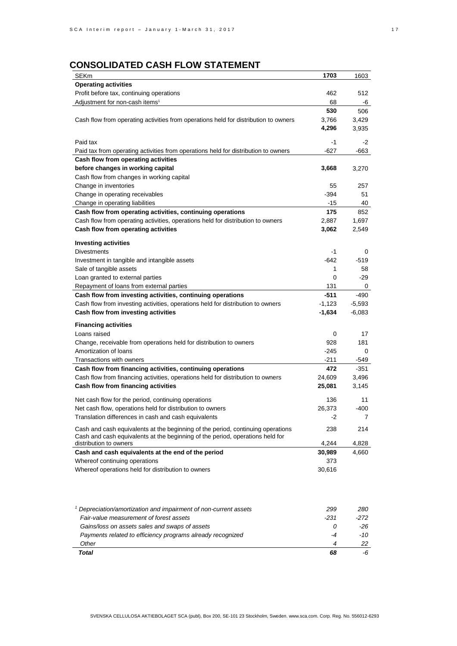# **CONSOLIDATED CASH FLOW STATEMENT**

| <b>SEKm</b>                                                                         | 1703     | 1603     |
|-------------------------------------------------------------------------------------|----------|----------|
| <b>Operating activities</b>                                                         |          |          |
| Profit before tax, continuing operations                                            | 462      | 512      |
| Adjustment for non-cash items <sup>1</sup>                                          | 68       | -6       |
|                                                                                     | 530      | 506      |
| Cash flow from operating activities from operations held for distribution to owners | 3,766    | 3,429    |
|                                                                                     | 4,296    | 3,935    |
|                                                                                     |          |          |
| Paid tax                                                                            | -1       | -2       |
| Paid tax from operating activities from operations held for distribution to owners  | -627     | -663     |
| Cash flow from operating activities                                                 |          |          |
| before changes in working capital                                                   | 3,668    | 3,270    |
| Cash flow from changes in working capital                                           |          |          |
| Change in inventories                                                               | 55       | 257      |
| Change in operating receivables                                                     | -394     | 51       |
| Change in operating liabilities                                                     | -15      | 40       |
| Cash flow from operating activities, continuing operations                          | 175      | 852      |
| Cash flow from operating activities, operations held for distribution to owners     | 2,887    | 1,697    |
| Cash flow from operating activities                                                 | 3,062    | 2,549    |
|                                                                                     |          |          |
| <b>Investing activities</b>                                                         |          |          |
| <b>Divestments</b>                                                                  | $-1$     | 0        |
| Investment in tangible and intangible assets                                        | -642     | -519     |
| Sale of tangible assets                                                             | 1        | 58       |
| Loan granted to external parties                                                    | 0        | -29      |
| Repayment of loans from external parties                                            | 131      | 0        |
| Cash flow from investing activities, continuing operations                          | $-511$   | -490     |
| Cash flow from investing activities, operations held for distribution to owners     | $-1,123$ | $-5,593$ |
| Cash flow from investing activities                                                 | -1,634   | $-6,083$ |
|                                                                                     |          |          |
| <b>Financing activities</b>                                                         |          |          |
| Loans raised                                                                        | 0        | 17       |
| Change, receivable from operations held for distribution to owners                  | 928      | 181      |
| Amortization of loans                                                               | $-245$   | 0        |
| Transactions with owners                                                            | -211     | -549     |
| Cash flow from financing activities, continuing operations                          | 472      | $-351$   |
| Cash flow from financing activities, operations held for distribution to owners     | 24,609   | 3,496    |
| Cash flow from financing activities                                                 | 25,081   | 3,145    |
|                                                                                     |          |          |
| Net cash flow for the period, continuing operations                                 | 136      | 11       |
| Net cash flow, operations held for distribution to owners                           | 26,373   | -400     |
| Translation differences in cash and cash equivalents                                |          | 7        |
| Cash and cash equivalents at the beginning of the period, continuing operations     | 238      | 214      |
| Cash and cash equivalents at the beginning of the period, operations held for       |          |          |
| distribution to owners                                                              | 4,244    | 4,828    |
| Cash and cash equivalents at the end of the period                                  | 30,989   | 4,660    |
| Whereof continuing operations                                                       | 373      |          |
| Whereof operations held for distribution to owners                                  | 30,616   |          |
|                                                                                     |          |          |
|                                                                                     |          |          |
| <sup>1</sup> Depreciation/amortization and impairment of non-current assets         | 299      | 280      |
| Fair-value measurement of forest assets                                             | -231     | -272     |
| Gains/loss on assets sales and swaps of assets                                      | 0        | -26      |
| Payments related to efficiency programs already recognized                          | -4       | -10      |
| Other                                                                               | 4        | 22       |
| Total                                                                               | 68       | -6       |
|                                                                                     |          |          |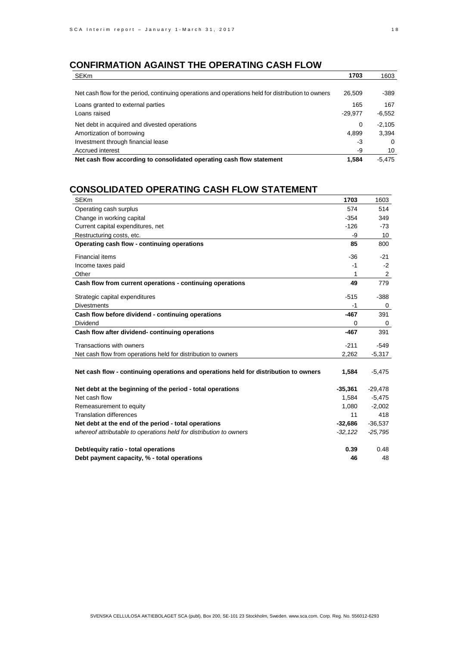# **CONFIRMATION AGAINST THE OPERATING CASH FLOW**

| <b>SEKm</b>                                                                                        | 1703      | 1603     |
|----------------------------------------------------------------------------------------------------|-----------|----------|
|                                                                                                    |           |          |
| Net cash flow for the period, continuing operations and operations held for distribution to owners | 26.509    | -389     |
| Loans granted to external parties                                                                  | 165       | 167      |
| Loans raised                                                                                       | $-29.977$ | $-6.552$ |
| Net debt in acquired and divested operations                                                       | 0         | $-2.105$ |
| Amortization of borrowing                                                                          | 4,899     | 3,394    |
| Investment through financial lease                                                                 | -3        | $\Omega$ |
| Accrued interest                                                                                   | -9        | 10       |
| Net cash flow according to consolidated operating cash flow statement                              | 1.584     | $-5.475$ |

# **CONSOLIDATED OPERATING CASH FLOW STATEMENT**

| <b>SEKm</b>                                                                          | 1703      | 1603      |
|--------------------------------------------------------------------------------------|-----------|-----------|
| Operating cash surplus                                                               | 574       | 514       |
| Change in working capital                                                            | $-354$    | 349       |
| Current capital expenditures, net                                                    | $-126$    | $-73$     |
| Restructuring costs, etc.                                                            | -9        | 10        |
| Operating cash flow - continuing operations                                          | 85        | 800       |
| <b>Financial items</b>                                                               | $-36$     | -21       |
| Income taxes paid                                                                    | -1        | $-2$      |
| Other                                                                                | 1         | 2         |
| Cash flow from current operations - continuing operations                            | 49        | 779       |
| Strategic capital expenditures                                                       | $-515$    | $-388$    |
| <b>Divestments</b>                                                                   | -1        | 0         |
| Cash flow before dividend - continuing operations                                    | $-467$    | 391       |
| Dividend                                                                             | 0         | 0         |
| Cash flow after dividend-continuing operations                                       | $-467$    | 391       |
| Transactions with owners                                                             | $-211$    | -549      |
| Net cash flow from operations held for distribution to owners                        | 2,262     | $-5,317$  |
| Net cash flow - continuing operations and operations held for distribution to owners | 1,584     | $-5,475$  |
| Net debt at the beginning of the period - total operations                           | $-35,361$ | $-29,478$ |
| Net cash flow                                                                        | 1,584     | $-5,475$  |
| Remeasurement to equity                                                              | 1,080     | $-2,002$  |
| <b>Translation differences</b>                                                       | 11        | 418       |
| Net debt at the end of the period - total operations                                 | $-32,686$ | $-36,537$ |
| whereof attributable to operations held for distribution to owners                   | $-32,122$ | $-25,795$ |
| Debt/equity ratio - total operations                                                 | 0.39      | 0.48      |
| Debt payment capacity, % - total operations                                          | 46        | 48        |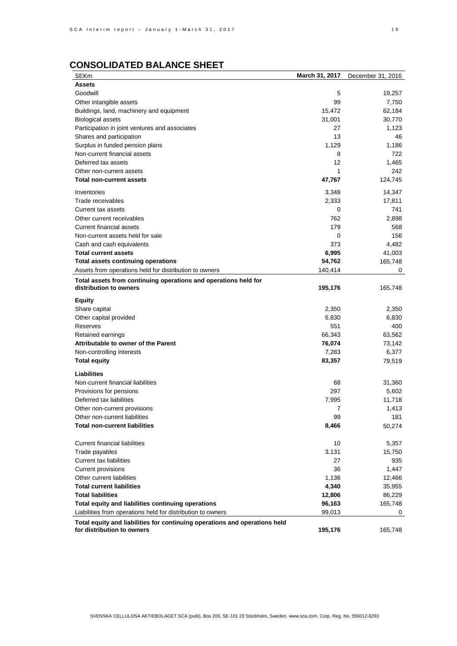# **CONSOLIDATED BALANCE SHEET**

| SEKm                                                                       | March 31, 2017 | December 31, 2016 |
|----------------------------------------------------------------------------|----------------|-------------------|
| Assets                                                                     |                |                   |
| Goodwill                                                                   | 5              | 19,257            |
| Other intangible assets                                                    | 99             | 7,750             |
| Buildings, land, machinery and equipment                                   | 15,472         | 62,184            |
| <b>Biological assets</b>                                                   | 31,001         | 30,770            |
| Participation in joint ventures and associates                             | 27             | 1,123             |
| Shares and participation                                                   | 13             | 46                |
| Surplus in funded pension plans                                            | 1,129          | 1,186             |
| Non-current financial assets                                               | 8              | 722               |
| Deferred tax assets                                                        | 12             | 1,465             |
| Other non-current assets                                                   | 1              | 242               |
| Total non-current assets                                                   | 47,767         | 124,745           |
|                                                                            |                |                   |
| Inventories                                                                | 3,348          | 14,347            |
| Trade receivables                                                          | 2,333          | 17,811            |
| Current tax assets                                                         | 0              | 741               |
| Other current receivables                                                  | 762            | 2,898             |
| <b>Current financial assets</b>                                            | 179            | 568               |
| Non-current assets held for sale                                           | 0              | 156               |
| Cash and cash equivalents                                                  | 373            | 4,482             |
| Total current assets                                                       | 6,995          | 41,003            |
| Total assets continuing operations                                         | 54,762         | 165,748           |
| Assets from operations held for distribution to owners                     | 140,414        | 0                 |
| Total assets from continuing operations and operations held for            |                |                   |
| distribution to owners                                                     | 195,176        | 165,748           |
| Equity                                                                     |                |                   |
| Share capital                                                              | 2,350          | 2,350             |
| Other capital provided                                                     | 6,830          | 6,830             |
| Reserves                                                                   | 551            | 400               |
| Retained earnings                                                          | 66,343         | 63,562            |
| Attributable to owner of the Parent                                        | 76,074         | 73,142            |
| Non-controlling interests                                                  | 7,283          | 6,377             |
| Total equity                                                               | 83,357         | 79,519            |
|                                                                            |                |                   |
| Liabilities                                                                |                |                   |
| Non-current financial liabilities                                          | 68             | 31,360            |
| Provisions for pensions                                                    | 297            | 5,602             |
| Deferred tax liabilities                                                   | 7,995          | 11,718            |
| Other non-current provisions                                               | 7              | 1,413             |
| Other non-current liabilities                                              | 99             | 181               |
| Total non-current liabilities                                              | 8,466          | 50,274            |
|                                                                            |                |                   |
| <b>Current financial liabilities</b>                                       | 10             | 5,357             |
| Trade payables                                                             | 3,131          | 15,750            |
| <b>Current tax liabilities</b>                                             | 27             | 935               |
| <b>Current provisions</b>                                                  | 36             | 1,447             |
| Other current liabilities                                                  | 1,136          | 12,466            |
| <b>Total current liabilities</b>                                           | 4,340          | 35,955            |
| <b>Total liabilities</b>                                                   | 12,806         | 86,229            |
| Total equity and liabilities continuing operations                         | 96,163         | 165,748           |
| Liabilities from operations held for distribution to owners                | 99,013         | 0                 |
| Total equity and liabilities for continuing operations and operations held |                |                   |
| for distribution to owners                                                 | 195,176        | 165,748           |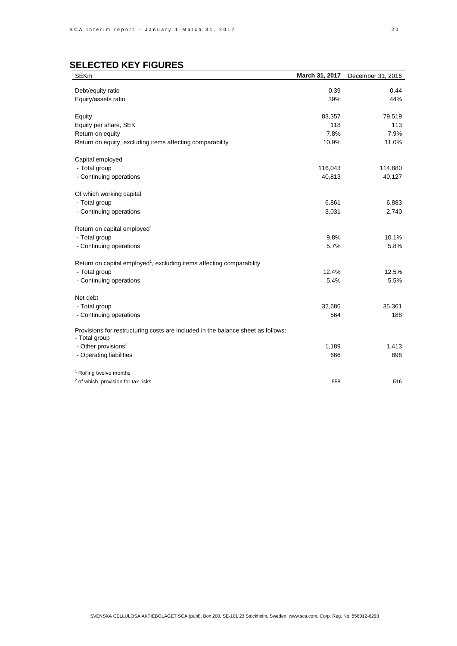# **SELECTED KEY FIGURES**

| <b>SEKm</b>                                                                       | March 31, 2017 | December 31, 2016 |
|-----------------------------------------------------------------------------------|----------------|-------------------|
| Debt/equity ratio                                                                 | 0.39           | 0.44              |
| Equity/assets ratio                                                               | 39%            | 44%               |
|                                                                                   |                |                   |
| Equity                                                                            | 83,357         | 79,519            |
| Equity per share, SEK                                                             | 118            | 113               |
| Return on equity                                                                  | 7.8%           | 7.9%              |
| Return on equity, excluding items affecting comparability                         | 10.9%          | 11.0%             |
| Capital employed                                                                  |                |                   |
| - Total group                                                                     | 116,043        | 114,880           |
| - Continuing operations                                                           | 40,813         | 40,127            |
|                                                                                   |                |                   |
| Of which working capital                                                          |                |                   |
| - Total group                                                                     | 6,861          | 6,883             |
| - Continuing operations                                                           | 3,031          | 2,740             |
| Return on capital employed <sup>1</sup>                                           |                |                   |
| - Total group                                                                     | 9.8%           | 10.1%             |
| - Continuing operations                                                           | 5.7%           | 5.8%              |
|                                                                                   |                |                   |
| Return on capital employed <sup>1</sup> , excluding items affecting comparability |                |                   |
| - Total group                                                                     | 12.4%          | 12.5%             |
| - Continuing operations                                                           | 5.4%           | 5.5%              |
| Net debt                                                                          |                |                   |
| - Total group                                                                     | 32,686         | 35,361            |
| - Continuing operations                                                           | 564            | 188               |
|                                                                                   |                |                   |
| Provisions for restructuring costs are included in the balance sheet as follows:  |                |                   |
| - Total group                                                                     |                |                   |
| - Other provisions <sup>2</sup>                                                   | 1,189          | 1,413             |
| - Operating liabilities                                                           | 666            | 898               |
| <sup>1</sup> Rolling twelve months                                                |                |                   |
| <sup>2</sup> of which, provision for tax risks                                    | 558            | 516               |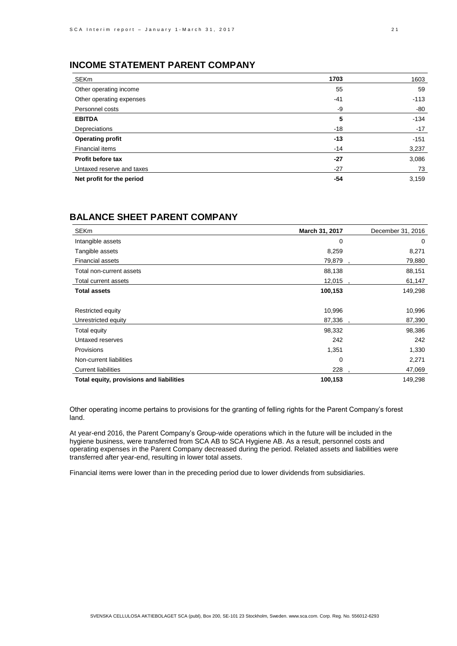## **INCOME STATEMENT PARENT COMPANY**

| <b>SEKm</b>               | 1703  | 1603   |
|---------------------------|-------|--------|
| Other operating income    | 55    | 59     |
| Other operating expenses  | $-41$ | $-113$ |
| Personnel costs           | -9    | -80    |
| <b>EBITDA</b>             | 5     | $-134$ |
| Depreciations             | $-18$ | $-17$  |
| Operating profit          | $-13$ | $-151$ |
| Financial items           | $-14$ | 3,237  |
| Profit before tax         | $-27$ | 3,086  |
| Untaxed reserve and taxes | $-27$ | 73     |
| Net profit for the period | -54   | 3,159  |

## **BALANCE SHEET PARENT COMPANY**

| <b>SEKm</b>                              | March 31, 2017 | December 31, 2016 |
|------------------------------------------|----------------|-------------------|
| Intangible assets                        | 0              | 0                 |
| Tangible assets                          | 8,259          | 8,271             |
| <b>Financial assets</b>                  | 79,879         | 79,880            |
| Total non-current assets                 | 88,138         | 88,151            |
| Total current assets                     | 12,015         | 61,147            |
| <b>Total assets</b>                      | 100,153        | 149,298           |
|                                          |                |                   |
| Restricted equity                        | 10,996         | 10,996            |
| Unrestricted equity                      | 87,336         | 87,390            |
| Total equity                             | 98,332         | 98,386            |
| Untaxed reserves                         | 242            | 242               |
| Provisions                               | 1,351          | 1,330             |
| Non-current liabilities                  | 0              | 2,271             |
| <b>Current liabilities</b>               | 228            | 47,069            |
| Total equity, provisions and liabilities | 100,153        | 149,298           |

Other operating income pertains to provisions for the granting of felling rights for the Parent Company's forest land.

At year-end 2016, the Parent Company's Group-wide operations which in the future will be included in the hygiene business, were transferred from SCA AB to SCA Hygiene AB. As a result, personnel costs and operating expenses in the Parent Company decreased during the period. Related assets and liabilities were transferred after year-end, resulting in lower total assets.

Financial items were lower than in the preceding period due to lower dividends from subsidiaries.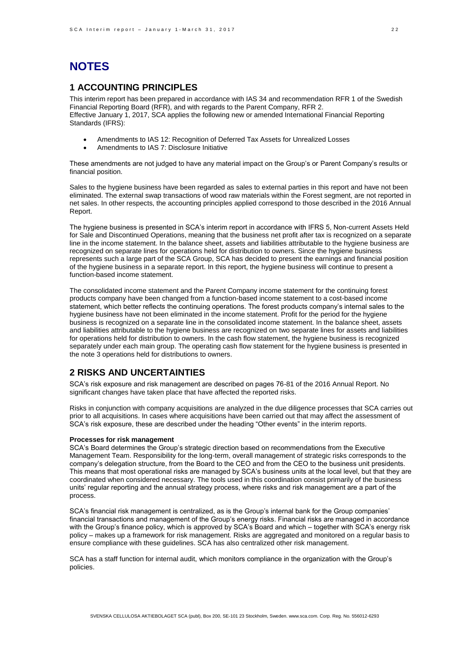# **NOTES**

## **1 ACCOUNTING PRINCIPLES**

This interim report has been prepared in accordance with IAS 34 and recommendation RFR 1 of the Swedish Financial Reporting Board (RFR), and with regards to the Parent Company, RFR 2. Effective January 1, 2017, SCA applies the following new or amended International Financial Reporting Standards (IFRS):

- Amendments to IAS 12: Recognition of Deferred Tax Assets for Unrealized Losses
- Amendments to IAS 7: Disclosure Initiative

These amendments are not judged to have any material impact on the Group's or Parent Company's results or financial position.

Sales to the hygiene business have been regarded as sales to external parties in this report and have not been eliminated. The external swap transactions of wood raw materials within the Forest segment, are not reported in net sales. In other respects, the accounting principles applied correspond to those described in the 2016 Annual Report.

The hygiene business is presented in SCA's interim report in accordance with IFRS 5, Non-current Assets Held for Sale and Discontinued Operations, meaning that the business net profit after tax is recognized on a separate line in the income statement. In the balance sheet, assets and liabilities attributable to the hygiene business are recognized on separate lines for operations held for distribution to owners. Since the hygiene business represents such a large part of the SCA Group, SCA has decided to present the earnings and financial position of the hygiene business in a separate report. In this report, the hygiene business will continue to present a function-based income statement.

The consolidated income statement and the Parent Company income statement for the continuing forest products company have been changed from a function-based income statement to a cost-based income statement, which better reflects the continuing operations. The forest products company's internal sales to the hygiene business have not been eliminated in the income statement. Profit for the period for the hygiene business is recognized on a separate line in the consolidated income statement. In the balance sheet, assets and liabilities attributable to the hygiene business are recognized on two separate lines for assets and liabilities for operations held for distribution to owners. In the cash flow statement, the hygiene business is recognized separately under each main group. The operating cash flow statement for the hygiene business is presented in the note 3 operations held for distributions to owners.

### **2 RISKS AND UNCERTAINTIES**

SCA's risk exposure and risk management are described on pages 76-81 of the 2016 Annual Report. No significant changes have taken place that have affected the reported risks.

Risks in conjunction with company acquisitions are analyzed in the due diligence processes that SCA carries out prior to all acquisitions. In cases where acquisitions have been carried out that may affect the assessment of SCA's risk exposure, these are described under the heading "Other events" in the interim reports.

#### **Processes for risk management**

SCA's Board determines the Group's strategic direction based on recommendations from the Executive Management Team. Responsibility for the long-term, overall management of strategic risks corresponds to the company's delegation structure, from the Board to the CEO and from the CEO to the business unit presidents. This means that most operational risks are managed by SCA's business units at the local level, but that they are coordinated when considered necessary. The tools used in this coordination consist primarily of the business units' regular reporting and the annual strategy process, where risks and risk management are a part of the process.

SCA's financial risk management is centralized, as is the Group's internal bank for the Group companies' financial transactions and management of the Group's energy risks. Financial risks are managed in accordance with the Group's finance policy, which is approved by SCA's Board and which – together with SCA's energy risk policy – makes up a framework for risk management. Risks are aggregated and monitored on a regular basis to ensure compliance with these guidelines. SCA has also centralized other risk management.

SCA has a staff function for internal audit, which monitors compliance in the organization with the Group's policies.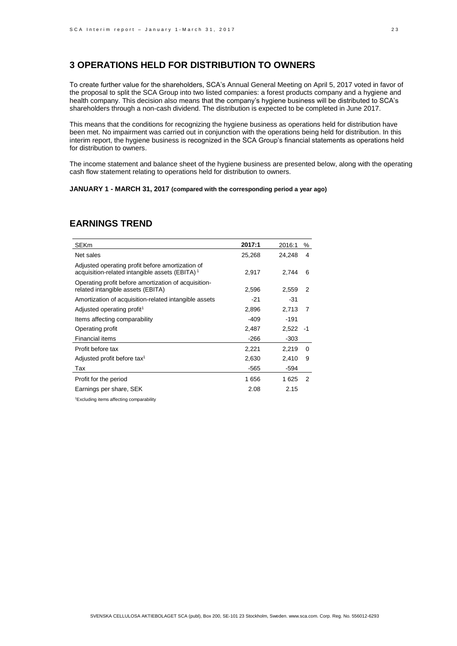## **3 OPERATIONS HELD FOR DISTRIBUTION TO OWNERS**

To create further value for the shareholders, SCA's Annual General Meeting on April 5, 2017 voted in favor of the proposal to split the SCA Group into two listed companies: a forest products company and a hygiene and health company. This decision also means that the company's hygiene business will be distributed to SCA's shareholders through a non-cash dividend. The distribution is expected to be completed in June 2017.

This means that the conditions for recognizing the hygiene business as operations held for distribution have been met. No impairment was carried out in conjunction with the operations being held for distribution. In this interim report, the hygiene business is recognized in the SCA Group's financial statements as operations held for distribution to owners.

The income statement and balance sheet of the hygiene business are presented below, along with the operating cash flow statement relating to operations held for distribution to owners.

#### **JANUARY 1 - MARCH 31, 2017 (compared with the corresponding period a year ago)**

| SEKm                                                                                                           | 2017:1 | 2016:1     | ℅        |
|----------------------------------------------------------------------------------------------------------------|--------|------------|----------|
| Net sales                                                                                                      | 25,268 | 24,248     | 4        |
| Adjusted operating profit before amortization of<br>acquisition-related intangible assets (EBITA) <sup>1</sup> | 2,917  | 2.744      | 6        |
| Operating profit before amortization of acquisition-<br>related intangible assets (EBITA)                      | 2,596  | 2,559      | 2        |
| Amortization of acquisition-related intangible assets                                                          | -21    | -31        |          |
| Adjusted operating profit <sup>1</sup>                                                                         | 2,896  | 2,713      | 7        |
| Items affecting comparability                                                                                  | -409   | $-191$     |          |
| Operating profit                                                                                               | 2,487  | $2,522 -1$ |          |
| Financial items                                                                                                | -266   | $-303$     |          |
| Profit before tax                                                                                              | 2,221  | 2,219      | $\Omega$ |
| Adjusted profit before tax <sup>1</sup>                                                                        | 2,630  | 2,410      | 9        |
| Tax                                                                                                            | -565   | -594       |          |
| Profit for the period                                                                                          | 1656   | 1625       | 2        |
| Earnings per share, SEK                                                                                        | 2.08   | 2.15       |          |

## **EARNINGS TREND**

<sup>1</sup>Excluding items affecting comparability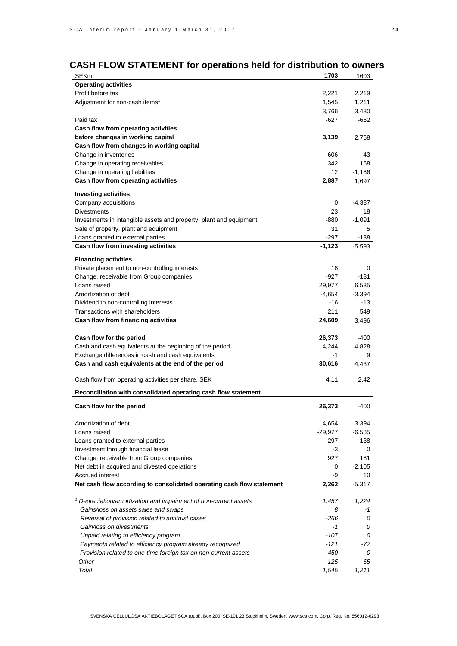# **CASH FLOW STATEMENT** for operations held for distribution to owners

| SEKm                                                                        | 1703      | 1603     |
|-----------------------------------------------------------------------------|-----------|----------|
| <b>Operating activities</b>                                                 |           |          |
| Profit before tax                                                           | 2,221     | 2,219    |
| Adjustment for non-cash items <sup>1</sup>                                  | 1,545     | 1,211    |
|                                                                             | 3,766     | 3,430    |
| Paid tax                                                                    | -627      | -662     |
| Cash flow from operating activities                                         |           |          |
| before changes in working capital                                           | 3,139     | 2,768    |
| Cash flow from changes in working capital                                   |           |          |
| Change in inventories                                                       | -606      | -43      |
| Change in operating receivables                                             | 342       | 158      |
| Change in operating liabilities                                             | 12        | $-1,186$ |
| Cash flow from operating activities                                         | 2,887     | 1,697    |
| <b>Investing activities</b>                                                 |           |          |
| Company acquisitions                                                        | 0         | $-4,387$ |
| <b>Divestments</b>                                                          | 23        | 18       |
| Investments in intangible assets and property, plant and equipment          | -880      | $-1,091$ |
| Sale of property, plant and equipment                                       | 31        | 5        |
| Loans granted to external parties                                           | $-297$    | -138     |
| Cash flow from investing activities                                         | $-1,123$  | $-5,593$ |
| <b>Financing activities</b>                                                 |           |          |
| Private placement to non-controlling interests                              | 18        | 0        |
| Change, receivable from Group companies                                     | $-927$    | $-181$   |
| Loans raised                                                                | 29,977    | 6,535    |
| Amortization of debt                                                        | $-4,654$  | $-3,394$ |
| Dividend to non-controlling interests                                       | $-16$     | -13      |
| Transactions with shareholders                                              | 211       | 549      |
| Cash flow from financing activities                                         | 24,609    | 3,496    |
| Cash flow for the period                                                    | 26,373    | -400     |
| Cash and cash equivalents at the beginning of the period                    | 4,244     | 4,828    |
| Exchange differences in cash and cash equivalents                           | -1        | 9        |
| Cash and cash equivalents at the end of the period                          | 30,616    | 4,437    |
|                                                                             |           |          |
| Cash flow from operating activities per share, SEK                          | 4.11      | 2.42     |
| Reconciliation with consolidated operating cash flow statement              |           |          |
| Cash flow for the period                                                    | 26,373    | $-400$   |
| Amortization of debt                                                        | 4,654     | 3,394    |
| Loans raised                                                                | $-29,977$ | -6,535   |
| Loans granted to external parties                                           | 297       | 138      |
| Investment through financial lease                                          | -3        | 0        |
| Change, receivable from Group companies                                     | 927       | 181      |
| Net debt in acquired and divested operations                                | 0         | $-2,105$ |
| Accrued interest                                                            | -9        | 10       |
| Net cash flow according to consolidated operating cash flow statement       | 2,262     | $-5,317$ |
|                                                                             |           |          |
| <sup>1</sup> Depreciation/amortization and impairment of non-current assets | 1,457     | 1,224    |
| Gains/loss on assets sales and swaps                                        | 8         | -1       |
| Reversal of provision related to antitrust cases                            | $-266$    | 0        |
| Gain/loss on divestments                                                    | $-1$      | 0        |
| Unpaid relating to efficiency program                                       | $-107$    | 0        |
| Payments related to efficiency program already recognized                   | -121      | -77      |
| Provision related to one-time foreign tax on non-current assets             | 450       | 0        |
| Other                                                                       | 125       | 65       |
| Total                                                                       | 1,545     | 1,211    |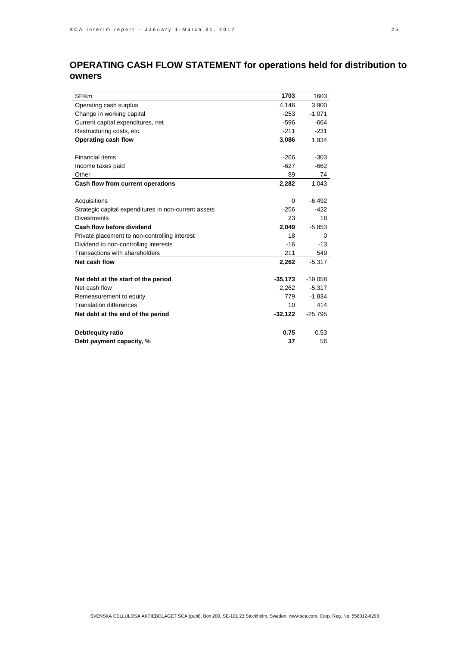# **OPERATING CASH FLOW STATEMENT** for operations held for distribution to owners

| <b>SEKm</b>                                          | 1703      | 1603      |
|------------------------------------------------------|-----------|-----------|
| Operating cash surplus                               | 4,146     | 3,900     |
| Change in working capital                            | $-253$    | $-1,071$  |
| Current capital expenditures, net                    | $-596$    | $-664$    |
| Restructuring costs, etc.                            | $-211$    | $-231$    |
| Operating cash flow                                  | 3,086     | 1,934     |
|                                                      |           |           |
| Financial items                                      | $-266$    | $-303$    |
| Income taxes paid                                    | $-627$    | $-662$    |
| Other                                                | 89        | 74        |
| Cash flow from current operations                    | 2,282     | 1,043     |
|                                                      |           |           |
| Acquisitions                                         | 0         | $-6,492$  |
| Strategic capital expenditures in non-current assets | $-256$    | $-422$    |
| <b>Divestments</b>                                   | 23        | 18        |
| Cash flow before dividend                            | 2,049     | $-5,853$  |
| Private placement to non-controlling interest        | 18        | 0         |
| Dividend to non-controlling interests                | $-16$     | $-13$     |
| Transactions with shareholders                       | 211       | 549       |
| Net cash flow                                        | 2,262     | $-5,317$  |
|                                                      |           |           |
| Net debt at the start of the period                  | $-35,173$ | $-19,058$ |
| Net cash flow                                        | 2,262     | $-5,317$  |
| Remeasurement to equity                              | 779       | $-1,834$  |
| <b>Translation differences</b>                       | 10        | 414       |
| Net debt at the end of the period                    | $-32,122$ | $-25,795$ |
|                                                      |           |           |
| Debt/equity ratio                                    | 0.75      | 0.53      |
| Debt payment capacity, %                             | 37        | 56        |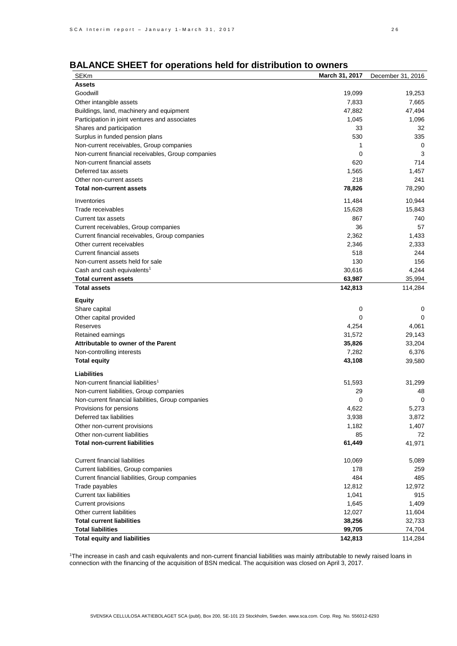| BALANCE SHEET for operations held for distribution to owners |  |  |  |
|--------------------------------------------------------------|--|--|--|
|--------------------------------------------------------------|--|--|--|

| SEKm                                                                                   | March 31, 2017   | December 31, 2016 |
|----------------------------------------------------------------------------------------|------------------|-------------------|
| Assets                                                                                 |                  |                   |
| Goodwill                                                                               | 19,099           | 19,253            |
| Other intangible assets                                                                | 7,833            | 7,665             |
| Buildings, land, machinery and equipment                                               | 47,882           | 47,494            |
| Participation in joint ventures and associates                                         | 1,045            | 1,096             |
| Shares and participation                                                               | 33               | 32                |
| Surplus in funded pension plans                                                        | 530              | 335               |
| Non-current receivables, Group companies                                               | 1                | 0                 |
| Non-current financial receivables, Group companies                                     | 0                | 3                 |
| Non-current financial assets                                                           | 620              | 714               |
| Deferred tax assets                                                                    | 1,565            | 1,457             |
| Other non-current assets                                                               | 218              | 241               |
| Total non-current assets                                                               | 78,826           | 78,290            |
| Inventories                                                                            |                  | 10,944            |
| Trade receivables                                                                      | 11,484<br>15,628 | 15,843            |
|                                                                                        | 867              | 740               |
| Current tax assets                                                                     |                  |                   |
| Current receivables, Group companies                                                   | 36               | 57                |
| Current financial receivables, Group companies                                         | 2,362            | 1,433             |
| Other current receivables                                                              | 2,346            | 2,333             |
| <b>Current financial assets</b>                                                        | 518              | 244               |
| Non-current assets held for sale                                                       | 130              | 156               |
| Cash and cash equivalents <sup>1</sup>                                                 | 30,616           | 4,244             |
| Total current assets                                                                   | 63,987           | 35,994            |
| <b>Total assets</b>                                                                    | 142,813          | 114,284           |
| Equity                                                                                 |                  |                   |
| Share capital                                                                          | 0                | 0                 |
| Other capital provided                                                                 | 0                | 0                 |
| Reserves                                                                               | 4,254            | 4,061             |
| Retained earnings                                                                      | 31,572           | 29,143            |
| Attributable to owner of the Parent                                                    | 35,826           | 33,204            |
| Non-controlling interests                                                              | 7,282            | 6,376             |
| Total equity                                                                           | 43,108           | 39,580            |
| Liabilities                                                                            |                  |                   |
| Non-current financial liabilities <sup>1</sup>                                         | 51,593           | 31,299            |
|                                                                                        | 29               |                   |
| Non-current liabilities, Group companies                                               |                  | 48<br>0           |
| Non-current financial liabilities, Group companies                                     | 0<br>4,622       | 5,273             |
| Provisions for pensions                                                                |                  |                   |
| Deferred tax liabilities                                                               | 3,938            | 3,872             |
| Other non-current provisions                                                           | 1,182            | 1,407             |
| Other non-current liabilities<br>Total non-current liabilities                         | 85               | 72<br>41,971      |
|                                                                                        | 61,449           |                   |
| <b>Current financial liabilities</b>                                                   | 10,069           | 5,089             |
|                                                                                        | 178              | 259               |
| Current liabilities, Group companies<br>Current financial liabilities, Group companies | 484              | 485               |
| Trade payables                                                                         | 12,812           | 12,972            |
| <b>Current tax liabilities</b>                                                         | 1,041            | 915               |
| <b>Current provisions</b>                                                              | 1,645            | 1,409             |
| Other current liabilities                                                              | 12,027           | 11,604            |
| <b>Total current liabilities</b>                                                       | 38,256           |                   |
| <b>Total liabilities</b>                                                               | 99,705           | 32,733<br>74,704  |
| Total equity and liabilities                                                           | 142,813          | 114,284           |
|                                                                                        |                  |                   |

<sup>1</sup>The increase in cash and cash equivalents and non-current financial liabilities was mainly attributable to newly raised loans in connection with the financing of the acquisition of BSN medical. The acquisition was closed on April 3, 2017.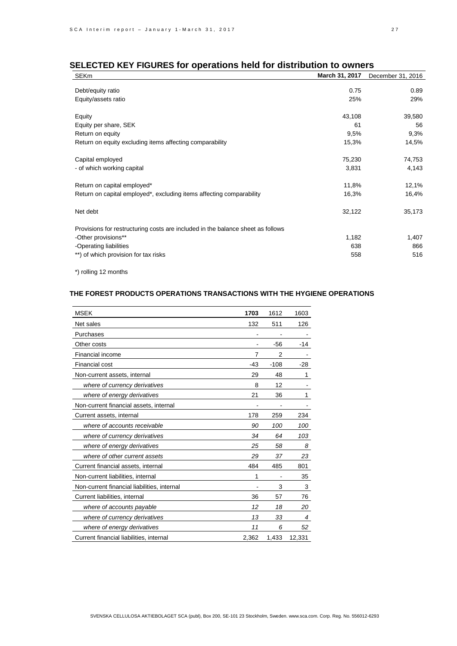# **SELECTED KEY FIGURES** for operations held for distribution to owners

| <b>SEKm</b>                                                                     | March 31, 2017 | December 31, 2016 |
|---------------------------------------------------------------------------------|----------------|-------------------|
|                                                                                 | 0.75           | 0.89              |
| Debt/equity ratio                                                               |                |                   |
| Equity/assets ratio                                                             | 25%            | 29%               |
| Equity                                                                          | 43,108         | 39,580            |
|                                                                                 |                |                   |
| Equity per share, SEK                                                           | 61             | 56                |
| Return on equity                                                                | 9,5%           | 9,3%              |
| Return on equity excluding items affecting comparability                        | 15,3%          | 14,5%             |
| Capital employed                                                                | 75,230         | 74,753            |
|                                                                                 |                |                   |
| - of which working capital                                                      | 3,831          | 4,143             |
| Return on capital employed*                                                     | 11,8%          | 12,1%             |
| Return on capital employed*, excluding items affecting comparability            | 16,3%          | 16,4%             |
|                                                                                 |                |                   |
| Net debt                                                                        | 32,122         | 35,173            |
| Provisions for restructuring costs are included in the balance sheet as follows |                |                   |
| -Other provisions**                                                             | 1,182          | 1,407             |
| -Operating liabilities                                                          | 638            | 866               |
| **) of which provision for tax risks                                            | 558            | 516               |

\*) rolling 12 months

### **THE FOREST PRODUCTS OPERATIONS TRANSACTIONS WITH THE HYGIENE OPERATIONS**

| <b>MSEK</b>                                 | 1703  | 1612           | 1603   |
|---------------------------------------------|-------|----------------|--------|
| Net sales                                   | 132   | 511            | 126    |
| Purchases                                   |       |                |        |
| Other costs                                 |       | $-56$          | -14    |
| Financial income                            | 7     | $\overline{2}$ |        |
| <b>Financial cost</b>                       | $-43$ | $-108$         | $-28$  |
| Non-current assets, internal                | 29    | 48             | 1      |
| where of currency derivatives               | 8     | 12             |        |
| where of energy derivatives                 | 21    | 36             | 1      |
| Non-current financial assets, internal      |       |                |        |
| Current assets, internal                    | 178   | 259            | 234    |
| where of accounts receivable                | 90    | 100            | 100    |
| where of currency derivatives               | 34    | 64             | 103    |
| where of energy derivatives                 | 25    | 58             | 8      |
| where of other current assets               | 29    | 37             | 23     |
| Current financial assets, internal          | 484   | 485            | 801    |
| Non-current liabilities, internal           | 1     |                | 35     |
| Non-current financial liabilities, internal |       | 3              | 3      |
| Current liabilities, internal               | 36    | 57             | 76     |
| where of accounts payable                   | 12    | 18             | 20     |
| where of currency derivatives               | 13    | 33             | 4      |
| where of energy derivatives                 | 11    | 6              | 52     |
| Current financial liabilities, internal     | 2,362 | 1,433          | 12,331 |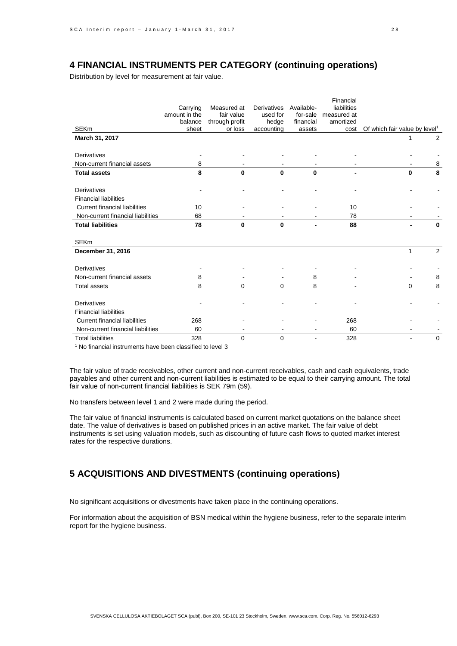## **4 FINANCIAL INSTRUMENTS PER CATEGORY (continuing operations)**

Distribution by level for measurement at fair value.

|                                      | Carrying<br>amount in the | Measured at<br>fair value | Derivatives<br>used for | Available-<br>for-sale | Financial<br>liabilities<br>measured at |                                           |             |
|--------------------------------------|---------------------------|---------------------------|-------------------------|------------------------|-----------------------------------------|-------------------------------------------|-------------|
| <b>SEKm</b>                          | balance                   | through profit            | hedge                   | financial              | amortized                               |                                           |             |
|                                      | sheet                     | or loss                   | accounting              | assets                 | cost                                    | Of which fair value by level <sup>1</sup> |             |
| March 31, 2017                       |                           |                           |                         |                        |                                         | 1                                         | 2           |
| Derivatives                          |                           |                           |                         |                        |                                         |                                           |             |
| Non-current financial assets         | 8                         |                           |                         |                        |                                         |                                           | 8           |
| <b>Total assets</b>                  | 8                         | $\Omega$                  | $\Omega$                | $\Omega$               |                                         | $\Omega$                                  | 8           |
| <b>Derivatives</b>                   |                           |                           |                         |                        |                                         |                                           |             |
| <b>Financial liabilities</b>         |                           |                           |                         |                        |                                         |                                           |             |
| <b>Current financial liabilities</b> | 10                        |                           |                         |                        | 10                                      |                                           |             |
| Non-current financial liabilities    | 68                        |                           |                         |                        | 78                                      |                                           |             |
| <b>Total liabilities</b>             | 78                        | $\Omega$                  | $\Omega$                |                        | 88                                      |                                           | $\Omega$    |
| <b>SEKm</b>                          |                           |                           |                         |                        |                                         |                                           |             |
| December 31, 2016                    |                           |                           |                         |                        |                                         | 1                                         | 2           |
| Derivatives                          |                           |                           |                         |                        |                                         |                                           |             |
| Non-current financial assets         | 8                         |                           |                         | 8                      |                                         |                                           | 8           |
| <b>Total assets</b>                  | 8                         | $\mathbf 0$               | $\Omega$                | 8                      |                                         | $\Omega$                                  | 8           |
| <b>Derivatives</b>                   |                           |                           |                         |                        |                                         |                                           |             |
| <b>Financial liabilities</b>         |                           |                           |                         |                        |                                         |                                           |             |
| <b>Current financial liabilities</b> | 268                       |                           |                         |                        | 268                                     |                                           |             |
| Non-current financial liabilities    | 60                        |                           |                         |                        | 60                                      |                                           |             |
| <b>Total liabilities</b>             | 328                       | 0                         | $\Omega$                |                        | 328                                     |                                           | $\mathbf 0$ |

<sup>1</sup> No financial instruments have been classified to level 3

The fair value of trade receivables, other current and non-current receivables, cash and cash equivalents, trade payables and other current and non-current liabilities is estimated to be equal to their carrying amount. The total fair value of non-current financial liabilities is SEK 79m (59).

No transfers between level 1 and 2 were made during the period.

The fair value of financial instruments is calculated based on current market quotations on the balance sheet date. The value of derivatives is based on published prices in an active market. The fair value of debt instruments is set using valuation models, such as discounting of future cash flows to quoted market interest rates for the respective durations.

# **5 ACQUISITIONS AND DIVESTMENTS (continuing operations)**

No significant acquisitions or divestments have taken place in the continuing operations.

For information about the acquisition of BSN medical within the hygiene business, refer to the separate interim report for the hygiene business.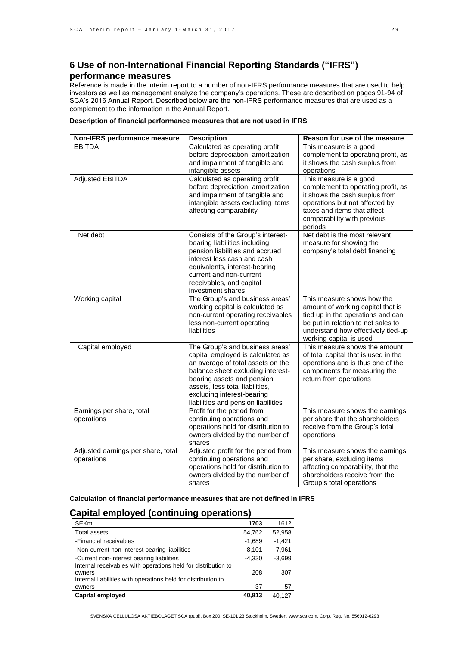# **6 Use of non-International Financial Reporting Standards ("IFRS") performance measures**

Reference is made in the interim report to a number of non-IFRS performance measures that are used to help investors as well as management analyze the company's operations. These are described on pages 91-94 of SCA's 2016 Annual Report. Described below are the non-IFRS performance measures that are used as a complement to the information in the Annual Report.

| Non-IFRS performance measure                     | <b>Description</b>                                                                                                                                                                                                                                                                   | Reason for use of the measure                                                                                                                                                                               |
|--------------------------------------------------|--------------------------------------------------------------------------------------------------------------------------------------------------------------------------------------------------------------------------------------------------------------------------------------|-------------------------------------------------------------------------------------------------------------------------------------------------------------------------------------------------------------|
| <b>EBITDA</b>                                    | Calculated as operating profit<br>before depreciation, amortization<br>and impairment of tangible and<br>intangible assets                                                                                                                                                           | This measure is a good<br>complement to operating profit, as<br>it shows the cash surplus from<br>operations                                                                                                |
| <b>Adjusted EBITDA</b>                           | Calculated as operating profit<br>before depreciation, amortization<br>and impairment of tangible and<br>intangible assets excluding items<br>affecting comparability                                                                                                                | This measure is a good<br>complement to operating profit, as<br>it shows the cash surplus from<br>operations but not affected by<br>taxes and items that affect<br>comparability with previous<br>periods   |
| Net debt                                         | Consists of the Group's interest-<br>bearing liabilities including<br>pension liabilities and accrued<br>interest less cash and cash<br>equivalents, interest-bearing<br>current and non-current<br>receivables, and capital<br>investment shares                                    | Net debt is the most relevant<br>measure for showing the<br>company's total debt financing                                                                                                                  |
| Working capital                                  | The Group's and business areas'<br>working capital is calculated as<br>non-current operating receivables<br>less non-current operating<br>liabilities                                                                                                                                | This measure shows how the<br>amount of working capital that is<br>tied up in the operations and can<br>be put in relation to net sales to<br>understand how effectively tied-up<br>working capital is used |
| Capital employed                                 | The Group's and business areas'<br>capital employed is calculated as<br>an average of total assets on the<br>balance sheet excluding interest-<br>bearing assets and pension<br>assets, less total liabilities,<br>excluding interest-bearing<br>liabilities and pension liabilities | This measure shows the amount<br>of total capital that is used in the<br>operations and is thus one of the<br>components for measuring the<br>return from operations                                        |
| Earnings per share, total<br>operations          | Profit for the period from<br>continuing operations and<br>operations held for distribution to<br>owners divided by the number of<br>shares                                                                                                                                          | This measure shows the earnings<br>per share that the shareholders<br>receive from the Group's total<br>operations                                                                                          |
| Adjusted earnings per share, total<br>operations | Adjusted profit for the period from<br>continuing operations and<br>operations held for distribution to<br>owners divided by the number of<br>shares                                                                                                                                 | This measure shows the earnings<br>per share, excluding items<br>affecting comparability, that the<br>shareholders receive from the<br>Group's total operations                                             |

**Description of financial performance measures that are not used in IFRS**

**Calculation of financial performance measures that are not defined in IFRS**

### **Capital employed (continuing operations)**

| <b>SEKm</b>                                                             | 1703     | 1612     |
|-------------------------------------------------------------------------|----------|----------|
| <b>Total assets</b>                                                     | 54,762   | 52,958   |
| -Financial receivables                                                  | $-1,689$ | $-1.421$ |
| -Non-current non-interest bearing liabilities                           | $-8.101$ | $-7.961$ |
| -Current non-interest bearing liabilities                               | $-4.330$ | $-3.699$ |
| Internal receivables with operations held for distribution to<br>owners | 208      | 307      |
| Internal liabilities with operations held for distribution to           |          |          |
| owners                                                                  | -37      | -57      |
| Capital employed                                                        | 40.813   | 40.127   |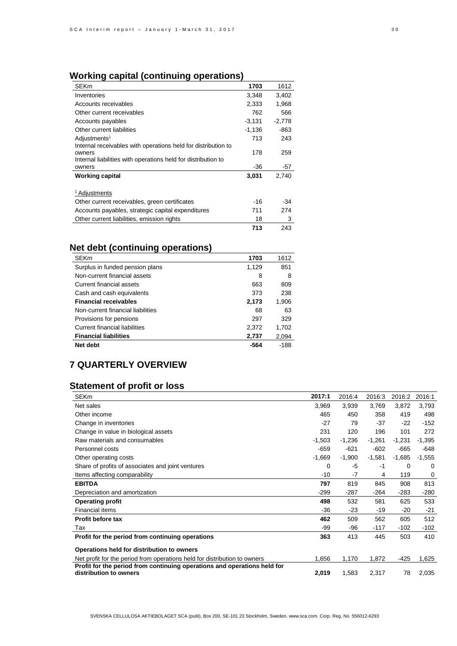# **Working capital (continuing operations)**

| <b>SEKm</b>                                                             | 1703     | 1612     |
|-------------------------------------------------------------------------|----------|----------|
| Inventories                                                             | 3,348    | 3,402    |
| Accounts receivables                                                    | 2,333    | 1,968    |
| Other current receivables                                               | 762      | 566      |
| Accounts payables                                                       | $-3,131$ | $-2,778$ |
| Other current liabilities                                               | $-1,136$ | -863     |
| Adjustments <sup>1</sup>                                                | 713      | 243      |
| Internal receivables with operations held for distribution to           |          |          |
| owners<br>Internal liabilities with operations held for distribution to | 178      | 259      |
| owners                                                                  | -36      | -57      |
| Working capital                                                         | 3,031    | 2,740    |
|                                                                         |          |          |
| <sup>1</sup> Adjustments                                                |          |          |
| Other current receivables, green certificates                           | -16      | -34      |
| Accounts payables, strategic capital expenditures                       | 711      | 274      |
| Other current liabilities, emission rights                              | 18       | 3        |
|                                                                         | 713      | 243      |

# **Net debt (continuing operations)**

| <b>SEKm</b>                       | 1703  | 1612  |
|-----------------------------------|-------|-------|
| Surplus in funded pension plans   | 1.129 | 851   |
| Non-current financial assets      | 8     | 8     |
| Current financial assets          | 663   | 809   |
| Cash and cash equivalents         | 373   | 238   |
| Financial receivables             | 2,173 | 1,906 |
| Non-current financial liabilities | 68    | 63    |
| Provisions for pensions           | 297   | 329   |
| Current financial liabilities     | 2,372 | 1,702 |
| <b>Financial liabilities</b>      | 2,737 | 2,094 |
| Net debt                          | -564  | -188  |

# **7 QUARTERLY OVERVIEW**

# **Statement of profit or loss**

| <b>SEKm</b>                                                                                        | 2017:1   | 2016:4   | 2016:3   | 2016:2   | 2016:1   |
|----------------------------------------------------------------------------------------------------|----------|----------|----------|----------|----------|
| Net sales                                                                                          | 3,969    | 3,939    | 3,769    | 3,872    | 3,793    |
| Other income                                                                                       | 465      | 450      | 358      | 419      | 498      |
| Change in inventories                                                                              | $-27$    | 79       | -37      | $-22$    | $-152$   |
| Change in value in biological assets                                                               | 231      | 120      | 196      | 101      | 272      |
| Raw materials and consumables                                                                      | $-1,503$ | $-1,236$ | $-1,261$ | $-1,231$ | $-1,395$ |
| Personnel costs                                                                                    | -659     | $-621$   | $-602$   | $-665$   | $-648$   |
| Other operating costs                                                                              | $-1,669$ | $-1,900$ | $-1,581$ | $-1,685$ | $-1,555$ |
| Share of profits of associates and joint ventures                                                  | 0        | -5       | -1       | 0        | 0        |
| Items affecting comparability                                                                      | $-10$    | -7       | 4        | 119      | 0        |
| <b>EBITDA</b>                                                                                      | 797      | 819      | 845      | 908      | 813      |
| Depreciation and amortization                                                                      | $-299$   | $-287$   | $-264$   | $-283$   | $-280$   |
| Operating profit                                                                                   | 498      | 532      | 581      | 625      | 533      |
| <b>Financial items</b>                                                                             | -36      | $-23$    | -19      | $-20$    | -21      |
| Profit before tax                                                                                  | 462      | 509      | 562      | 605      | 512      |
| Tax                                                                                                | -99      | -96      | $-117$   | $-102$   | $-102$   |
| Profit for the period from continuing operations                                                   | 363      | 413      | 445      | 503      | 410      |
| Operations held for distribution to owners                                                         |          |          |          |          |          |
| Net profit for the period from operations held for distribution to owners                          | 1,656    | 1,170    | 1,872    | $-425$   | 1,625    |
| Profit for the period from continuing operations and operations held for<br>distribution to owners | 2,019    | 1,583    | 2,317    | 78       | 2,035    |